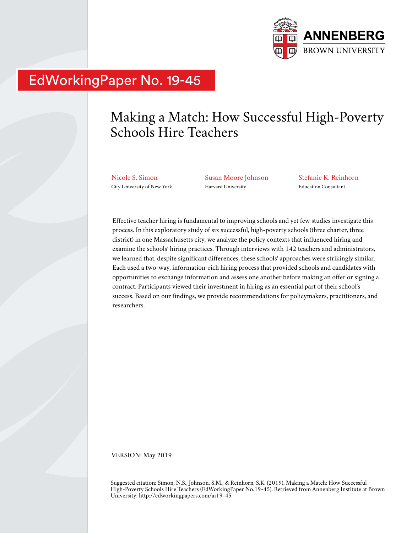

# EdWorkingPaper No. 19-45

# Making a Match: How Successful High-Poverty Schools Hire Teachers

Nicole S. Simon City University of New York Susan Moore Johnson Harvard University

Stefanie K. Reinhorn Education Consultant

Effective teacher hiring is fundamental to improving schools and yet few studies investigate this process. In this exploratory study of six successful, high-poverty schools (three charter, three district) in one Massachusetts city, we analyze the policy contexts that influenced hiring and examine the schools' hiring practices. Through interviews with 142 teachers and administrators, we learned that, despite significant differences, these schools' approaches were strikingly similar. Each used a two-way, information-rich hiring process that provided schools and candidates with opportunities to exchange information and assess one another before making an offer or signing a contract. Participants viewed their investment in hiring as an essential part of their school's success. Based on our findings, we provide recommendations for policymakers, practitioners, and researchers.

VERSION: May 2019

Suggested citation: Simon, N.S., Johnson, S.M., & Reinhorn, S.K. (2019). Making a Match: How Successful High-Poverty Schools Hire Teachers (EdWorkingPaper No.19-45). Retrieved from Annenberg Institute at Brown University: http://edworkingpapers.com/ai19-45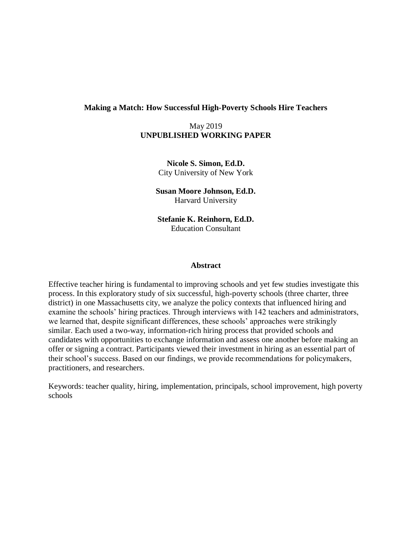#### **Making a Match: How Successful High-Poverty Schools Hire Teachers**

# May 2019 **UNPUBLISHED WORKING PAPER**

**Nicole S. Simon, Ed.D.** City University of New York

**Susan Moore Johnson, Ed.D.** Harvard University

**Stefanie K. Reinhorn, Ed.D.** Education Consultant

#### **Abstract**

Effective teacher hiring is fundamental to improving schools and yet few studies investigate this process. In this exploratory study of six successful, high-poverty schools (three charter, three district) in one Massachusetts city, we analyze the policy contexts that influenced hiring and examine the schools' hiring practices. Through interviews with 142 teachers and administrators, we learned that, despite significant differences, these schools' approaches were strikingly similar. Each used a two-way, information-rich hiring process that provided schools and candidates with opportunities to exchange information and assess one another before making an offer or signing a contract. Participants viewed their investment in hiring as an essential part of their school's success. Based on our findings, we provide recommendations for policymakers, practitioners, and researchers.

Keywords: teacher quality, hiring, implementation, principals, school improvement, high poverty schools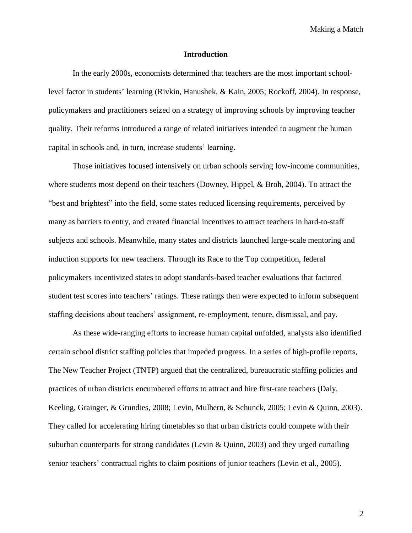#### **Introduction**

In the early 2000s, economists determined that teachers are the most important schoollevel factor in students' learning (Rivkin, Hanushek, & Kain, 2005; Rockoff, 2004). In response, policymakers and practitioners seized on a strategy of improving schools by improving teacher quality. Their reforms introduced a range of related initiatives intended to augment the human capital in schools and, in turn, increase students' learning.

Those initiatives focused intensively on urban schools serving low-income communities, where students most depend on their teachers (Downey, Hippel, & Broh, 2004). To attract the "best and brightest" into the field, some states reduced licensing requirements, perceived by many as barriers to entry, and created financial incentives to attract teachers in hard-to-staff subjects and schools. Meanwhile, many states and districts launched large-scale mentoring and induction supports for new teachers. Through its Race to the Top competition, federal policymakers incentivized states to adopt standards-based teacher evaluations that factored student test scores into teachers' ratings. These ratings then were expected to inform subsequent staffing decisions about teachers' assignment, re-employment, tenure, dismissal, and pay.

As these wide-ranging efforts to increase human capital unfolded, analysts also identified certain school district staffing policies that impeded progress. In a series of high-profile reports, The New Teacher Project (TNTP) argued that the centralized, bureaucratic staffing policies and practices of urban districts encumbered efforts to attract and hire first-rate teachers (Daly, Keeling, Grainger, & Grundies, 2008; Levin, Mulhern, & Schunck, 2005; Levin & Quinn, 2003). They called for accelerating hiring timetables so that urban districts could compete with their suburban counterparts for strong candidates (Levin & Quinn, 2003) and they urged curtailing senior teachers' contractual rights to claim positions of junior teachers (Levin et al., 2005).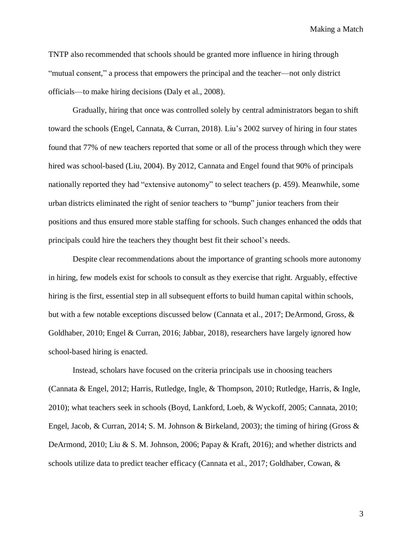TNTP also recommended that schools should be granted more influence in hiring through "mutual consent," a process that empowers the principal and the teacher—not only district officials—to make hiring decisions (Daly et al., 2008).

Gradually, hiring that once was controlled solely by central administrators began to shift toward the schools (Engel, Cannata, & Curran, 2018). Liu's 2002 survey of hiring in four states found that 77% of new teachers reported that some or all of the process through which they were hired was school-based (Liu, 2004). By 2012, Cannata and Engel found that 90% of principals nationally reported they had "extensive autonomy" to select teachers (p. 459). Meanwhile, some urban districts eliminated the right of senior teachers to "bump" junior teachers from their positions and thus ensured more stable staffing for schools. Such changes enhanced the odds that principals could hire the teachers they thought best fit their school's needs.

Despite clear recommendations about the importance of granting schools more autonomy in hiring, few models exist for schools to consult as they exercise that right. Arguably, effective hiring is the first, essential step in all subsequent efforts to build human capital within schools, but with a few notable exceptions discussed below (Cannata et al., 2017; DeArmond, Gross, & Goldhaber, 2010; Engel & Curran, 2016; Jabbar, 2018), researchers have largely ignored how school-based hiring is enacted.

Instead, scholars have focused on the criteria principals use in choosing teachers (Cannata & Engel, 2012; Harris, Rutledge, Ingle, & Thompson, 2010; Rutledge, Harris, & Ingle, 2010); what teachers seek in schools (Boyd, Lankford, Loeb, & Wyckoff, 2005; Cannata, 2010; Engel, Jacob, & Curran, 2014; S. M. Johnson & Birkeland, 2003); the timing of hiring (Gross & DeArmond, 2010; Liu & S. M. Johnson, 2006; Papay & Kraft, 2016); and whether districts and schools utilize data to predict teacher efficacy (Cannata et al., 2017; Goldhaber, Cowan, &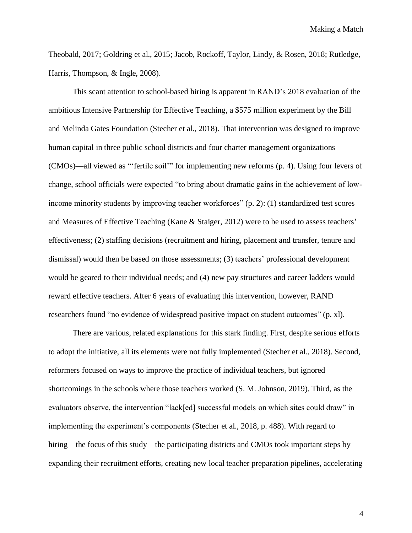Theobald, 2017; Goldring et al., 2015; Jacob, Rockoff, Taylor, Lindy, & Rosen, 2018; Rutledge, Harris, Thompson, & Ingle, 2008).

This scant attention to school-based hiring is apparent in RAND's 2018 evaluation of the ambitious Intensive Partnership for Effective Teaching, a \$575 million experiment by the Bill and Melinda Gates Foundation (Stecher et al., 2018). That intervention was designed to improve human capital in three public school districts and four charter management organizations (CMOs)—all viewed as "'fertile soil'" for implementing new reforms (p. 4). Using four levers of change, school officials were expected "to bring about dramatic gains in the achievement of lowincome minority students by improving teacher workforces" (p. 2): (1) standardized test scores and Measures of Effective Teaching (Kane & Staiger, 2012) were to be used to assess teachers' effectiveness; (2) staffing decisions (recruitment and hiring, placement and transfer, tenure and dismissal) would then be based on those assessments; (3) teachers' professional development would be geared to their individual needs; and (4) new pay structures and career ladders would reward effective teachers. After 6 years of evaluating this intervention, however, RAND researchers found "no evidence of widespread positive impact on student outcomes" (p. xl).

There are various, related explanations for this stark finding. First, despite serious efforts to adopt the initiative, all its elements were not fully implemented (Stecher et al., 2018). Second, reformers focused on ways to improve the practice of individual teachers, but ignored shortcomings in the schools where those teachers worked (S. M. Johnson, 2019). Third, as the evaluators observe, the intervention "lack[ed] successful models on which sites could draw" in implementing the experiment's components (Stecher et al., 2018, p. 488). With regard to hiring—the focus of this study—the participating districts and CMOs took important steps by expanding their recruitment efforts, creating new local teacher preparation pipelines, accelerating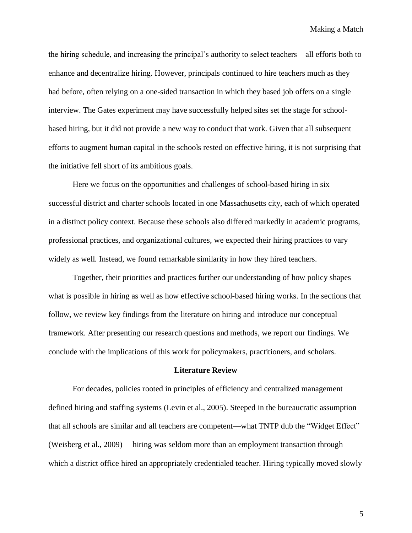the hiring schedule, and increasing the principal's authority to select teachers—all efforts both to enhance and decentralize hiring. However, principals continued to hire teachers much as they had before, often relying on a one-sided transaction in which they based job offers on a single interview. The Gates experiment may have successfully helped sites set the stage for schoolbased hiring, but it did not provide a new way to conduct that work. Given that all subsequent efforts to augment human capital in the schools rested on effective hiring, it is not surprising that the initiative fell short of its ambitious goals.

Here we focus on the opportunities and challenges of school-based hiring in six successful district and charter schools located in one Massachusetts city, each of which operated in a distinct policy context. Because these schools also differed markedly in academic programs, professional practices, and organizational cultures, we expected their hiring practices to vary widely as well. Instead, we found remarkable similarity in how they hired teachers.

Together, their priorities and practices further our understanding of how policy shapes what is possible in hiring as well as how effective school-based hiring works. In the sections that follow, we review key findings from the literature on hiring and introduce our conceptual framework. After presenting our research questions and methods, we report our findings. We conclude with the implications of this work for policymakers, practitioners, and scholars.

#### **Literature Review**

For decades, policies rooted in principles of efficiency and centralized management defined hiring and staffing systems (Levin et al., 2005). Steeped in the bureaucratic assumption that all schools are similar and all teachers are competent—what TNTP dub the "Widget Effect" (Weisberg et al., 2009)— hiring was seldom more than an employment transaction through which a district office hired an appropriately credentialed teacher. Hiring typically moved slowly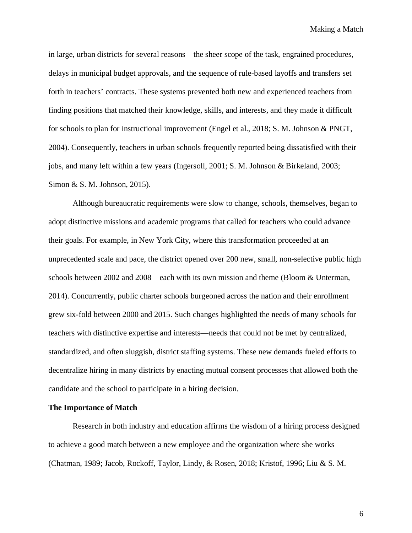in large, urban districts for several reasons—the sheer scope of the task, engrained procedures, delays in municipal budget approvals, and the sequence of rule-based layoffs and transfers set forth in teachers' contracts. These systems prevented both new and experienced teachers from finding positions that matched their knowledge, skills, and interests, and they made it difficult for schools to plan for instructional improvement (Engel et al., 2018; S. M. Johnson & PNGT, 2004). Consequently, teachers in urban schools frequently reported being dissatisfied with their jobs, and many left within a few years (Ingersoll, 2001; S. M. Johnson & Birkeland, 2003; Simon & S. M. Johnson, 2015).

Although bureaucratic requirements were slow to change, schools, themselves, began to adopt distinctive missions and academic programs that called for teachers who could advance their goals. For example, in New York City, where this transformation proceeded at an unprecedented scale and pace, the district opened over 200 new, small, non-selective public high schools between 2002 and 2008—each with its own mission and theme (Bloom & Unterman, 2014). Concurrently, public charter schools burgeoned across the nation and their enrollment grew six-fold between 2000 and 2015. Such changes highlighted the needs of many schools for teachers with distinctive expertise and interests—needs that could not be met by centralized, standardized, and often sluggish, district staffing systems. These new demands fueled efforts to decentralize hiring in many districts by enacting mutual consent processes that allowed both the candidate and the school to participate in a hiring decision.

#### **The Importance of Match**

Research in both industry and education affirms the wisdom of a hiring process designed to achieve a good match between a new employee and the organization where she works (Chatman, 1989; Jacob, Rockoff, Taylor, Lindy, & Rosen, 2018; Kristof, 1996; Liu & S. M.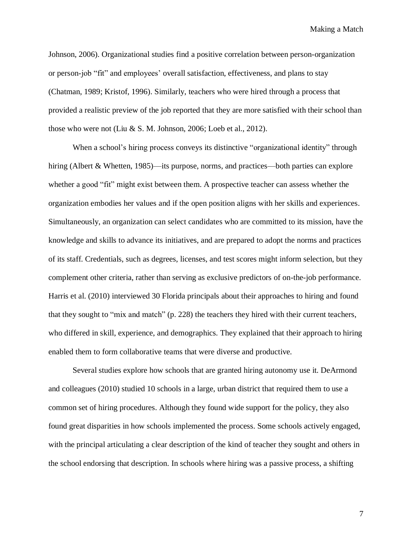Johnson, 2006). Organizational studies find a positive correlation between person-organization or person-job "fit" and employees' overall satisfaction, effectiveness, and plans to stay (Chatman, 1989; Kristof, 1996). Similarly, teachers who were hired through a process that provided a realistic preview of the job reported that they are more satisfied with their school than those who were not (Liu & S. M. Johnson, 2006; Loeb et al., 2012).

When a school's hiring process conveys its distinctive "organizational identity" through hiring (Albert & Whetten, 1985)—its purpose, norms, and practices—both parties can explore whether a good "fit" might exist between them. A prospective teacher can assess whether the organization embodies her values and if the open position aligns with her skills and experiences. Simultaneously, an organization can select candidates who are committed to its mission, have the knowledge and skills to advance its initiatives, and are prepared to adopt the norms and practices of its staff. Credentials, such as degrees, licenses, and test scores might inform selection, but they complement other criteria, rather than serving as exclusive predictors of on-the-job performance. Harris et al. (2010) interviewed 30 Florida principals about their approaches to hiring and found that they sought to "mix and match" (p. 228) the teachers they hired with their current teachers, who differed in skill, experience, and demographics. They explained that their approach to hiring enabled them to form collaborative teams that were diverse and productive.

Several studies explore how schools that are granted hiring autonomy use it. DeArmond and colleagues (2010) studied 10 schools in a large, urban district that required them to use a common set of hiring procedures. Although they found wide support for the policy, they also found great disparities in how schools implemented the process. Some schools actively engaged, with the principal articulating a clear description of the kind of teacher they sought and others in the school endorsing that description. In schools where hiring was a passive process, a shifting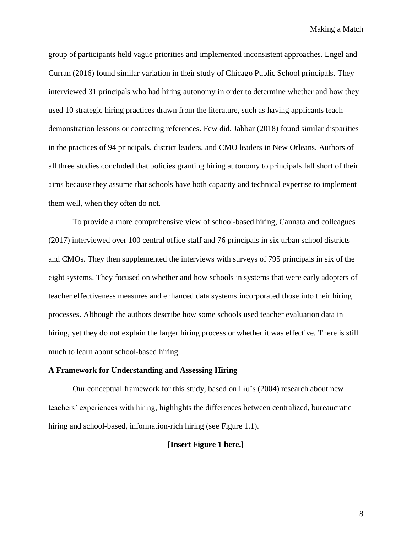group of participants held vague priorities and implemented inconsistent approaches. Engel and Curran (2016) found similar variation in their study of Chicago Public School principals. They interviewed 31 principals who had hiring autonomy in order to determine whether and how they used 10 strategic hiring practices drawn from the literature, such as having applicants teach demonstration lessons or contacting references. Few did. Jabbar (2018) found similar disparities in the practices of 94 principals, district leaders, and CMO leaders in New Orleans. Authors of all three studies concluded that policies granting hiring autonomy to principals fall short of their aims because they assume that schools have both capacity and technical expertise to implement them well, when they often do not.

To provide a more comprehensive view of school-based hiring, Cannata and colleagues (2017) interviewed over 100 central office staff and 76 principals in six urban school districts and CMOs. They then supplemented the interviews with surveys of 795 principals in six of the eight systems. They focused on whether and how schools in systems that were early adopters of teacher effectiveness measures and enhanced data systems incorporated those into their hiring processes. Although the authors describe how some schools used teacher evaluation data in hiring, yet they do not explain the larger hiring process or whether it was effective. There is still much to learn about school-based hiring.

#### **A Framework for Understanding and Assessing Hiring**

Our conceptual framework for this study, based on Liu's (2004) research about new teachers' experiences with hiring, highlights the differences between centralized, bureaucratic hiring and school-based, information-rich hiring (see Figure 1.1).

#### **[Insert Figure 1 here.]**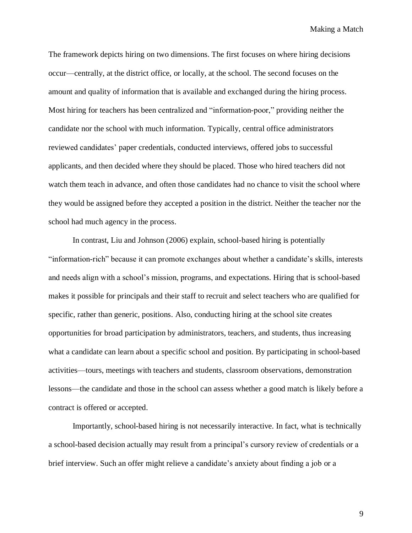The framework depicts hiring on two dimensions. The first focuses on where hiring decisions occur—centrally, at the district office, or locally, at the school. The second focuses on the amount and quality of information that is available and exchanged during the hiring process. Most hiring for teachers has been centralized and "information-poor," providing neither the candidate nor the school with much information. Typically, central office administrators reviewed candidates' paper credentials, conducted interviews, offered jobs to successful applicants, and then decided where they should be placed. Those who hired teachers did not watch them teach in advance, and often those candidates had no chance to visit the school where they would be assigned before they accepted a position in the district. Neither the teacher nor the school had much agency in the process.

In contrast, Liu and Johnson (2006) explain, school-based hiring is potentially "information-rich" because it can promote exchanges about whether a candidate's skills, interests and needs align with a school's mission, programs, and expectations. Hiring that is school-based makes it possible for principals and their staff to recruit and select teachers who are qualified for specific, rather than generic, positions. Also, conducting hiring at the school site creates opportunities for broad participation by administrators, teachers, and students, thus increasing what a candidate can learn about a specific school and position. By participating in school-based activities—tours, meetings with teachers and students, classroom observations, demonstration lessons—the candidate and those in the school can assess whether a good match is likely before a contract is offered or accepted.

Importantly, school-based hiring is not necessarily interactive. In fact, what is technically a school-based decision actually may result from a principal's cursory review of credentials or a brief interview. Such an offer might relieve a candidate's anxiety about finding a job or a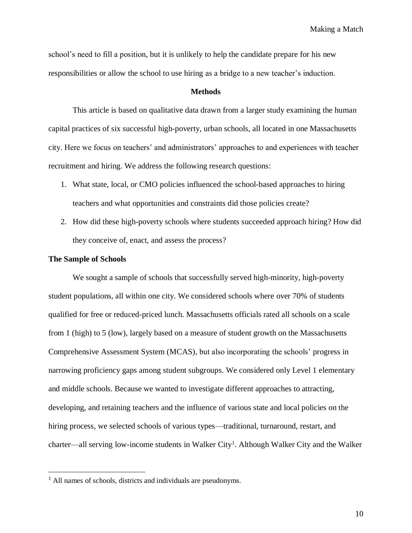school's need to fill a position, but it is unlikely to help the candidate prepare for his new responsibilities or allow the school to use hiring as a bridge to a new teacher's induction.

#### **Methods**

This article is based on qualitative data drawn from a larger study examining the human capital practices of six successful high-poverty, urban schools, all located in one Massachusetts city. Here we focus on teachers' and administrators' approaches to and experiences with teacher recruitment and hiring. We address the following research questions:

- 1. What state, local, or CMO policies influenced the school-based approaches to hiring teachers and what opportunities and constraints did those policies create?
- 2. How did these high-poverty schools where students succeeded approach hiring? How did they conceive of, enact, and assess the process?

#### **The Sample of Schools**

 $\overline{a}$ 

We sought a sample of schools that successfully served high-minority, high-poverty student populations, all within one city. We considered schools where over 70% of students qualified for free or reduced-priced lunch. Massachusetts officials rated all schools on a scale from 1 (high) to 5 (low), largely based on a measure of student growth on the Massachusetts Comprehensive Assessment System (MCAS), but also incorporating the schools' progress in narrowing proficiency gaps among student subgroups. We considered only Level 1 elementary and middle schools. Because we wanted to investigate different approaches to attracting, developing, and retaining teachers and the influence of various state and local policies on the hiring process, we selected schools of various types—traditional, turnaround, restart, and charter—all serving low-income students in Walker City<sup>1</sup>. Although Walker City and the Walker

 $<sup>1</sup>$  All names of schools, districts and individuals are pseudonyms.</sup>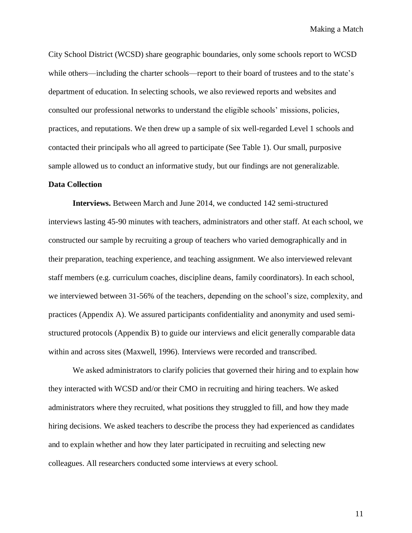City School District (WCSD) share geographic boundaries, only some schools report to WCSD while others—including the charter schools—report to their board of trustees and to the state's department of education. In selecting schools, we also reviewed reports and websites and consulted our professional networks to understand the eligible schools' missions, policies, practices, and reputations. We then drew up a sample of six well-regarded Level 1 schools and contacted their principals who all agreed to participate (See Table 1). Our small, purposive sample allowed us to conduct an informative study, but our findings are not generalizable.

#### **Data Collection**

**Interviews.** Between March and June 2014, we conducted 142 semi-structured interviews lasting 45-90 minutes with teachers, administrators and other staff. At each school, we constructed our sample by recruiting a group of teachers who varied demographically and in their preparation, teaching experience, and teaching assignment. We also interviewed relevant staff members (e.g. curriculum coaches, discipline deans, family coordinators). In each school, we interviewed between 31-56% of the teachers, depending on the school's size, complexity, and practices (Appendix A). We assured participants confidentiality and anonymity and used semistructured protocols (Appendix B) to guide our interviews and elicit generally comparable data within and across sites (Maxwell, 1996). Interviews were recorded and transcribed.

We asked administrators to clarify policies that governed their hiring and to explain how they interacted with WCSD and/or their CMO in recruiting and hiring teachers. We asked administrators where they recruited, what positions they struggled to fill, and how they made hiring decisions. We asked teachers to describe the process they had experienced as candidates and to explain whether and how they later participated in recruiting and selecting new colleagues. All researchers conducted some interviews at every school.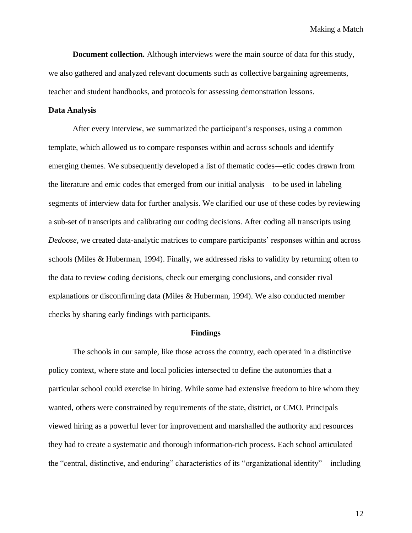**Document collection.** Although interviews were the main source of data for this study, we also gathered and analyzed relevant documents such as collective bargaining agreements, teacher and student handbooks, and protocols for assessing demonstration lessons.

#### **Data Analysis**

After every interview, we summarized the participant's responses, using a common template, which allowed us to compare responses within and across schools and identify emerging themes. We subsequently developed a list of thematic codes—etic codes drawn from the literature and emic codes that emerged from our initial analysis—to be used in labeling segments of interview data for further analysis. We clarified our use of these codes by reviewing a sub-set of transcripts and calibrating our coding decisions. After coding all transcripts using *Dedoose,* we created data-analytic matrices to compare participants' responses within and across schools (Miles & Huberman, 1994). Finally, we addressed risks to validity by returning often to the data to review coding decisions, check our emerging conclusions, and consider rival explanations or disconfirming data (Miles & Huberman, 1994). We also conducted member checks by sharing early findings with participants.

#### **Findings**

The schools in our sample, like those across the country, each operated in a distinctive policy context, where state and local policies intersected to define the autonomies that a particular school could exercise in hiring. While some had extensive freedom to hire whom they wanted, others were constrained by requirements of the state, district, or CMO. Principals viewed hiring as a powerful lever for improvement and marshalled the authority and resources they had to create a systematic and thorough information-rich process. Each school articulated the "central, distinctive, and enduring" characteristics of its "organizational identity"—including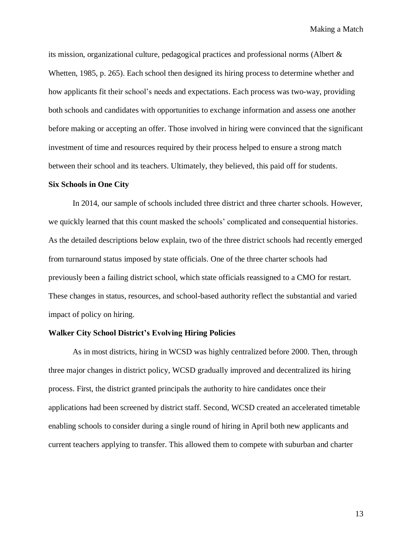its mission, organizational culture, pedagogical practices and professional norms (Albert & Whetten, 1985, p. 265). Each school then designed its hiring process to determine whether and how applicants fit their school's needs and expectations. Each process was two-way, providing both schools and candidates with opportunities to exchange information and assess one another before making or accepting an offer. Those involved in hiring were convinced that the significant investment of time and resources required by their process helped to ensure a strong match between their school and its teachers. Ultimately, they believed, this paid off for students.

#### **Six Schools in One City**

In 2014, our sample of schools included three district and three charter schools. However, we quickly learned that this count masked the schools' complicated and consequential histories. As the detailed descriptions below explain, two of the three district schools had recently emerged from turnaround status imposed by state officials. One of the three charter schools had previously been a failing district school, which state officials reassigned to a CMO for restart. These changes in status, resources, and school-based authority reflect the substantial and varied impact of policy on hiring.

#### **Walker City School District's Evolving Hiring Policies**

As in most districts, hiring in WCSD was highly centralized before 2000. Then, through three major changes in district policy, WCSD gradually improved and decentralized its hiring process. First, the district granted principals the authority to hire candidates once their applications had been screened by district staff. Second, WCSD created an accelerated timetable enabling schools to consider during a single round of hiring in April both new applicants and current teachers applying to transfer. This allowed them to compete with suburban and charter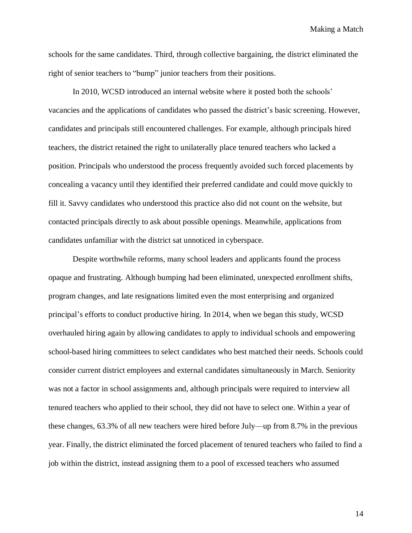schools for the same candidates. Third, through collective bargaining, the district eliminated the right of senior teachers to "bump" junior teachers from their positions.

In 2010, WCSD introduced an internal website where it posted both the schools' vacancies and the applications of candidates who passed the district's basic screening. However, candidates and principals still encountered challenges. For example, although principals hired teachers, the district retained the right to unilaterally place tenured teachers who lacked a position. Principals who understood the process frequently avoided such forced placements by concealing a vacancy until they identified their preferred candidate and could move quickly to fill it. Savvy candidates who understood this practice also did not count on the website, but contacted principals directly to ask about possible openings. Meanwhile, applications from candidates unfamiliar with the district sat unnoticed in cyberspace.

Despite worthwhile reforms, many school leaders and applicants found the process opaque and frustrating. Although bumping had been eliminated, unexpected enrollment shifts, program changes, and late resignations limited even the most enterprising and organized principal's efforts to conduct productive hiring. In 2014, when we began this study, WCSD overhauled hiring again by allowing candidates to apply to individual schools and empowering school-based hiring committees to select candidates who best matched their needs. Schools could consider current district employees and external candidates simultaneously in March. Seniority was not a factor in school assignments and, although principals were required to interview all tenured teachers who applied to their school, they did not have to select one. Within a year of these changes, 63.3% of all new teachers were hired before July—up from 8.7% in the previous year. Finally, the district eliminated the forced placement of tenured teachers who failed to find a job within the district, instead assigning them to a pool of excessed teachers who assumed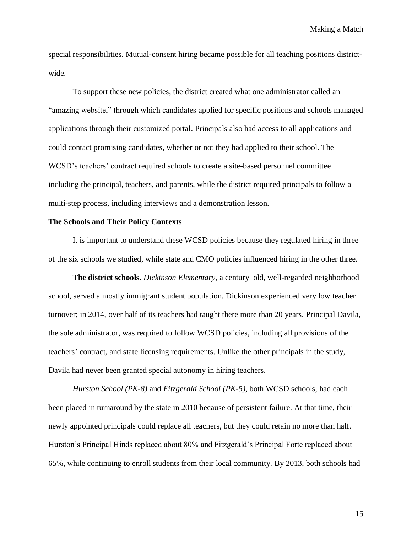special responsibilities. Mutual-consent hiring became possible for all teaching positions districtwide.

To support these new policies, the district created what one administrator called an "amazing website," through which candidates applied for specific positions and schools managed applications through their customized portal. Principals also had access to all applications and could contact promising candidates, whether or not they had applied to their school. The WCSD's teachers' contract required schools to create a site-based personnel committee including the principal, teachers, and parents, while the district required principals to follow a multi-step process, including interviews and a demonstration lesson.

#### **The Schools and Their Policy Contexts**

It is important to understand these WCSD policies because they regulated hiring in three of the six schools we studied, while state and CMO policies influenced hiring in the other three.

**The district schools.** *Dickinson Elementary,* a century–old, well-regarded neighborhood school, served a mostly immigrant student population. Dickinson experienced very low teacher turnover; in 2014, over half of its teachers had taught there more than 20 years. Principal Davila, the sole administrator, was required to follow WCSD policies, including all provisions of the teachers' contract, and state licensing requirements. Unlike the other principals in the study, Davila had never been granted special autonomy in hiring teachers.

*Hurston School (PK-8)* and *Fitzgerald School (PK-5),* both WCSD schools, had each been placed in turnaround by the state in 2010 because of persistent failure. At that time, their newly appointed principals could replace all teachers, but they could retain no more than half. Hurston's Principal Hinds replaced about 80% and Fitzgerald's Principal Forte replaced about 65%, while continuing to enroll students from their local community. By 2013, both schools had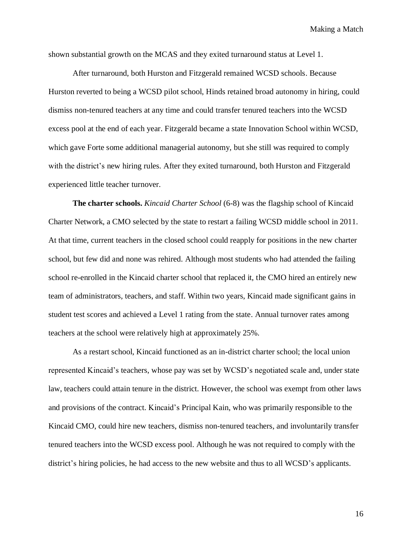shown substantial growth on the MCAS and they exited turnaround status at Level 1.

After turnaround, both Hurston and Fitzgerald remained WCSD schools. Because Hurston reverted to being a WCSD pilot school, Hinds retained broad autonomy in hiring, could dismiss non-tenured teachers at any time and could transfer tenured teachers into the WCSD excess pool at the end of each year. Fitzgerald became a state Innovation School within WCSD, which gave Forte some additional managerial autonomy, but she still was required to comply with the district's new hiring rules. After they exited turnaround, both Hurston and Fitzgerald experienced little teacher turnover.

**The charter schools.** *Kincaid Charter School* (6-8) was the flagship school of Kincaid Charter Network, a CMO selected by the state to restart a failing WCSD middle school in 2011. At that time, current teachers in the closed school could reapply for positions in the new charter school, but few did and none was rehired. Although most students who had attended the failing school re-enrolled in the Kincaid charter school that replaced it, the CMO hired an entirely new team of administrators, teachers, and staff. Within two years, Kincaid made significant gains in student test scores and achieved a Level 1 rating from the state. Annual turnover rates among teachers at the school were relatively high at approximately 25%.

As a restart school, Kincaid functioned as an in-district charter school; the local union represented Kincaid's teachers, whose pay was set by WCSD's negotiated scale and, under state law, teachers could attain tenure in the district. However, the school was exempt from other laws and provisions of the contract. Kincaid's Principal Kain, who was primarily responsible to the Kincaid CMO, could hire new teachers, dismiss non-tenured teachers, and involuntarily transfer tenured teachers into the WCSD excess pool. Although he was not required to comply with the district's hiring policies, he had access to the new website and thus to all WCSD's applicants.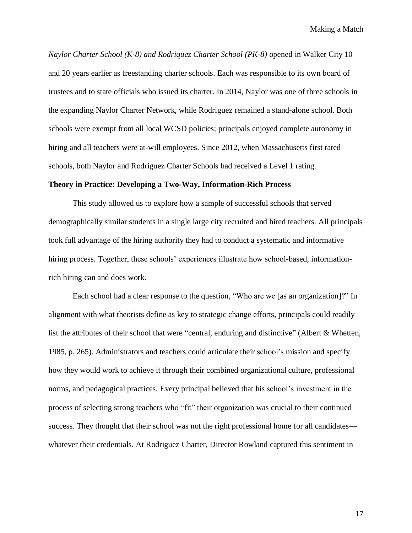*Naylor Charter School (K-8) and Rodriquez Charter School (PK-8)* opened in Walker City 10 and 20 years earlier as freestanding charter schools. Each was responsible to its own board of trustees and to state officials who issued its charter. In 2014, Naylor was one of three schools in the expanding Naylor Charter Network, while Rodriguez remained a stand-alone school. Both schools were exempt from all local WCSD policies; principals enjoyed complete autonomy in hiring and all teachers were at-will employees. Since 2012, when Massachusetts first rated schools, both Naylor and Rodriguez Charter Schools had received a Level 1 rating.

#### **Theory in Practice: Developing a Two-Way, Information-Rich Process**

This study allowed us to explore how a sample of successful schools that served demographically similar students in a single large city recruited and hired teachers. All principals took full advantage of the hiring authority they had to conduct a systematic and informative hiring process. Together, these schools' experiences illustrate how school-based, informationrich hiring can and does work.

Each school had a clear response to the question, "Who are we [as an organization]?" In alignment with what theorists define as key to strategic change efforts, principals could readily list the attributes of their school that were "central, enduring and distinctive" (Albert & Whetten, 1985, p. 265). Administrators and teachers could articulate their school's mission and specify how they would work to achieve it through their combined organizational culture, professional norms, and pedagogical practices. Every principal believed that his school's investment in the process of selecting strong teachers who "fit" their organization was crucial to their continued success. They thought that their school was not the right professional home for all candidates whatever their credentials. At Rodriguez Charter, Director Rowland captured this sentiment in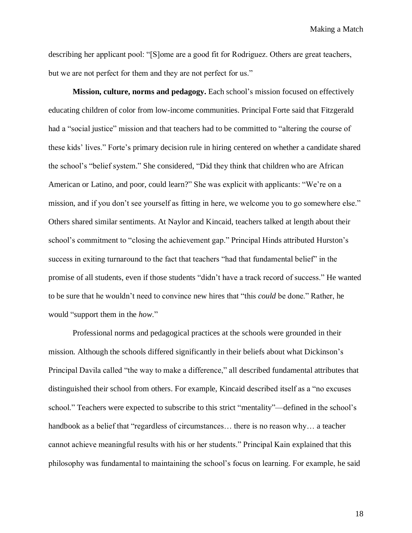describing her applicant pool: "[S]ome are a good fit for Rodriguez. Others are great teachers, but we are not perfect for them and they are not perfect for us."

**Mission, culture, norms and pedagogy.** Each school's mission focused on effectively educating children of color from low-income communities. Principal Forte said that Fitzgerald had a "social justice" mission and that teachers had to be committed to "altering the course of these kids' lives." Forte's primary decision rule in hiring centered on whether a candidate shared the school's "belief system." She considered, "Did they think that children who are African American or Latino, and poor, could learn?" She was explicit with applicants: "We're on a mission, and if you don't see yourself as fitting in here, we welcome you to go somewhere else." Others shared similar sentiments. At Naylor and Kincaid, teachers talked at length about their school's commitment to "closing the achievement gap." Principal Hinds attributed Hurston's success in exiting turnaround to the fact that teachers "had that fundamental belief" in the promise of all students, even if those students "didn't have a track record of success." He wanted to be sure that he wouldn't need to convince new hires that "this *could* be done." Rather, he would "support them in the *how*."

Professional norms and pedagogical practices at the schools were grounded in their mission. Although the schools differed significantly in their beliefs about what Dickinson's Principal Davila called "the way to make a difference," all described fundamental attributes that distinguished their school from others. For example, Kincaid described itself as a "no excuses school." Teachers were expected to subscribe to this strict "mentality"—defined in the school's handbook as a belief that "regardless of circumstances… there is no reason why… a teacher cannot achieve meaningful results with his or her students." Principal Kain explained that this philosophy was fundamental to maintaining the school's focus on learning. For example, he said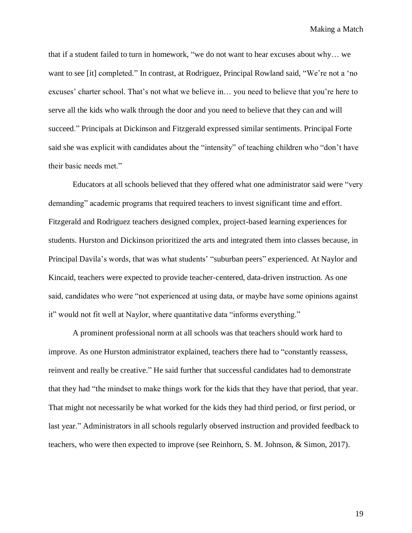that if a student failed to turn in homework, "we do not want to hear excuses about why… we want to see [it] completed." In contrast, at Rodriguez, Principal Rowland said, "We're not a 'no excuses' charter school. That's not what we believe in… you need to believe that you're here to serve all the kids who walk through the door and you need to believe that they can and will succeed." Principals at Dickinson and Fitzgerald expressed similar sentiments. Principal Forte said she was explicit with candidates about the "intensity" of teaching children who "don't have their basic needs met."

Educators at all schools believed that they offered what one administrator said were "very demanding" academic programs that required teachers to invest significant time and effort. Fitzgerald and Rodriguez teachers designed complex, project-based learning experiences for students. Hurston and Dickinson prioritized the arts and integrated them into classes because, in Principal Davila's words, that was what students' "suburban peers" experienced. At Naylor and Kincaid, teachers were expected to provide teacher-centered, data-driven instruction. As one said, candidates who were "not experienced at using data, or maybe have some opinions against it" would not fit well at Naylor, where quantitative data "informs everything."

A prominent professional norm at all schools was that teachers should work hard to improve. As one Hurston administrator explained, teachers there had to "constantly reassess, reinvent and really be creative." He said further that successful candidates had to demonstrate that they had "the mindset to make things work for the kids that they have that period, that year. That might not necessarily be what worked for the kids they had third period, or first period, or last year." Administrators in all schools regularly observed instruction and provided feedback to teachers, who were then expected to improve (see Reinhorn, S. M. Johnson, & Simon, 2017).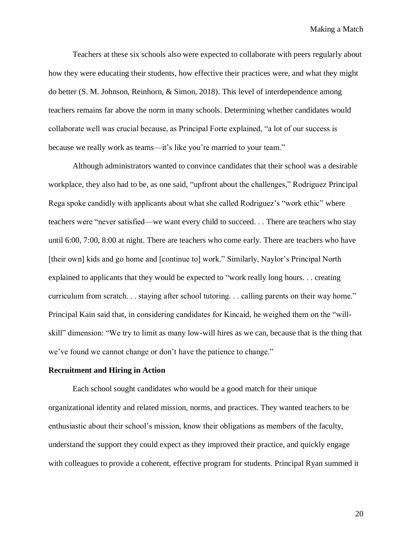Teachers at these six schools also were expected to collaborate with peers regularly about how they were educating their students, how effective their practices were, and what they might do better (S. M. Johnson, Reinhorn, & Simon, 2018). This level of interdependence among teachers remains far above the norm in many schools. Determining whether candidates would collaborate well was crucial because, as Principal Forte explained, "a lot of our success is because we really work as teams—it's like you're married to your team."

Although administrators wanted to convince candidates that their school was a desirable workplace, they also had to be, as one said, "upfront about the challenges," Rodriguez Principal Rega spoke candidly with applicants about what she called Rodriguez's "work ethic" where teachers were "never satisfied—we want every child to succeed. . . There are teachers who stay until 6:00, 7:00, 8:00 at night. There are teachers who come early. There are teachers who have [their own] kids and go home and [continue to] work." Similarly, Naylor's Principal North explained to applicants that they would be expected to "work really long hours. . . creating curriculum from scratch. . . staying after school tutoring. . . calling parents on their way home." Principal Kain said that, in considering candidates for Kincaid, he weighed them on the "willskill" dimension: "We try to limit as many low-will hires as we can, because that is the thing that we've found we cannot change or don't have the patience to change."

### **Recruitment and Hiring in Action**

Each school sought candidates who would be a good match for their unique organizational identity and related mission, norms, and practices. They wanted teachers to be enthusiastic about their school's mission, know their obligations as members of the faculty, understand the support they could expect as they improved their practice, and quickly engage with colleagues to provide a coherent, effective program for students. Principal Ryan summed it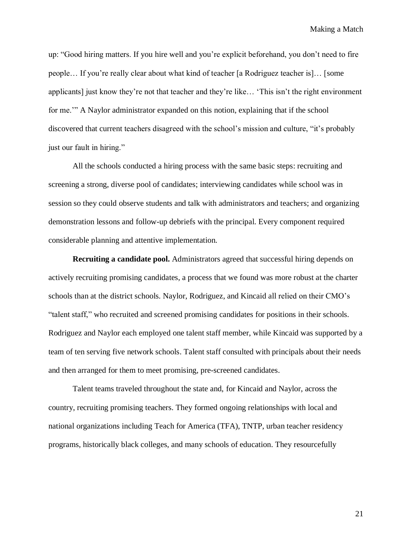up: "Good hiring matters. If you hire well and you're explicit beforehand, you don't need to fire people… If you're really clear about what kind of teacher [a Rodriguez teacher is]… [some applicants] just know they're not that teacher and they're like… 'This isn't the right environment for me.'" A Naylor administrator expanded on this notion, explaining that if the school discovered that current teachers disagreed with the school's mission and culture, "it's probably just our fault in hiring."

All the schools conducted a hiring process with the same basic steps: recruiting and screening a strong, diverse pool of candidates; interviewing candidates while school was in session so they could observe students and talk with administrators and teachers; and organizing demonstration lessons and follow-up debriefs with the principal. Every component required considerable planning and attentive implementation.

**Recruiting a candidate pool.** Administrators agreed that successful hiring depends on actively recruiting promising candidates, a process that we found was more robust at the charter schools than at the district schools. Naylor, Rodriguez, and Kincaid all relied on their CMO's "talent staff," who recruited and screened promising candidates for positions in their schools. Rodriguez and Naylor each employed one talent staff member, while Kincaid was supported by a team of ten serving five network schools. Talent staff consulted with principals about their needs and then arranged for them to meet promising, pre-screened candidates.

Talent teams traveled throughout the state and, for Kincaid and Naylor, across the country, recruiting promising teachers. They formed ongoing relationships with local and national organizations including Teach for America (TFA), TNTP, urban teacher residency programs, historically black colleges, and many schools of education. They resourcefully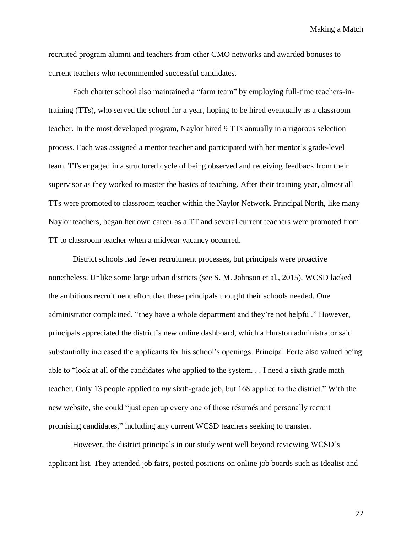recruited program alumni and teachers from other CMO networks and awarded bonuses to current teachers who recommended successful candidates.

Each charter school also maintained a "farm team" by employing full-time teachers-intraining (TTs), who served the school for a year, hoping to be hired eventually as a classroom teacher. In the most developed program, Naylor hired 9 TTs annually in a rigorous selection process. Each was assigned a mentor teacher and participated with her mentor's grade-level team. TTs engaged in a structured cycle of being observed and receiving feedback from their supervisor as they worked to master the basics of teaching. After their training year, almost all TTs were promoted to classroom teacher within the Naylor Network. Principal North, like many Naylor teachers, began her own career as a TT and several current teachers were promoted from TT to classroom teacher when a midyear vacancy occurred.

District schools had fewer recruitment processes, but principals were proactive nonetheless. Unlike some large urban districts (see S. M. Johnson et al., 2015), WCSD lacked the ambitious recruitment effort that these principals thought their schools needed. One administrator complained, "they have a whole department and they're not helpful." However, principals appreciated the district's new online dashboard, which a Hurston administrator said substantially increased the applicants for his school's openings. Principal Forte also valued being able to "look at all of the candidates who applied to the system. . . I need a sixth grade math teacher. Only 13 people applied to *my* sixth-grade job, but 168 applied to the district." With the new website, she could "just open up every one of those résumés and personally recruit promising candidates," including any current WCSD teachers seeking to transfer.

However, the district principals in our study went well beyond reviewing WCSD's applicant list. They attended job fairs, posted positions on online job boards such as Idealist and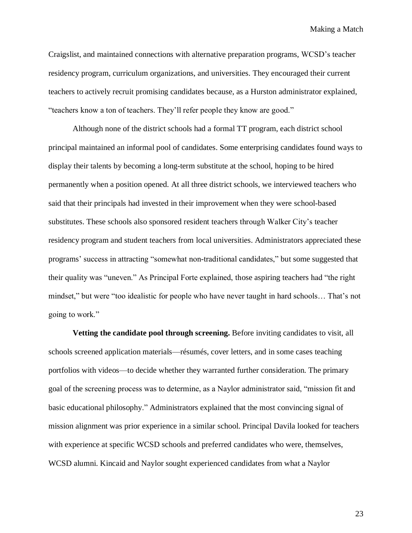Craigslist, and maintained connections with alternative preparation programs, WCSD's teacher residency program, curriculum organizations, and universities. They encouraged their current teachers to actively recruit promising candidates because, as a Hurston administrator explained, "teachers know a ton of teachers. They'll refer people they know are good."

Although none of the district schools had a formal TT program, each district school principal maintained an informal pool of candidates. Some enterprising candidates found ways to display their talents by becoming a long-term substitute at the school, hoping to be hired permanently when a position opened. At all three district schools, we interviewed teachers who said that their principals had invested in their improvement when they were school-based substitutes. These schools also sponsored resident teachers through Walker City's teacher residency program and student teachers from local universities. Administrators appreciated these programs' success in attracting "somewhat non-traditional candidates," but some suggested that their quality was "uneven." As Principal Forte explained, those aspiring teachers had "the right mindset," but were "too idealistic for people who have never taught in hard schools… That's not going to work."

**Vetting the candidate pool through screening.** Before inviting candidates to visit, all schools screened application materials—résumés, cover letters, and in some cases teaching portfolios with videos—to decide whether they warranted further consideration. The primary goal of the screening process was to determine, as a Naylor administrator said, "mission fit and basic educational philosophy." Administrators explained that the most convincing signal of mission alignment was prior experience in a similar school. Principal Davila looked for teachers with experience at specific WCSD schools and preferred candidates who were, themselves, WCSD alumni. Kincaid and Naylor sought experienced candidates from what a Naylor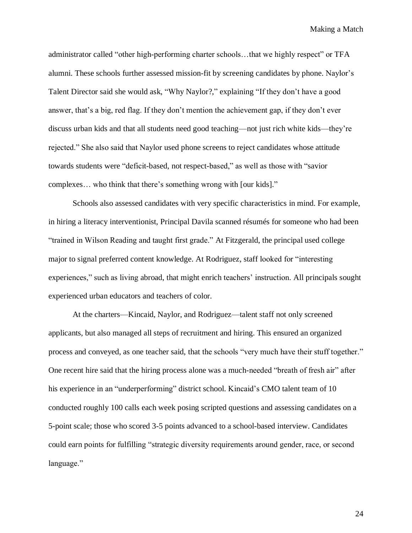administrator called "other high-performing charter schools…that we highly respect" or TFA alumni. These schools further assessed mission-fit by screening candidates by phone. Naylor's Talent Director said she would ask, "Why Naylor?," explaining "If they don't have a good answer, that's a big, red flag. If they don't mention the achievement gap, if they don't ever discuss urban kids and that all students need good teaching—not just rich white kids—they're rejected." She also said that Naylor used phone screens to reject candidates whose attitude towards students were "deficit-based, not respect-based," as well as those with "savior complexes… who think that there's something wrong with [our kids]."

Schools also assessed candidates with very specific characteristics in mind. For example, in hiring a literacy interventionist, Principal Davila scanned résumés for someone who had been "trained in Wilson Reading and taught first grade." At Fitzgerald, the principal used college major to signal preferred content knowledge. At Rodriguez, staff looked for "interesting experiences," such as living abroad, that might enrich teachers' instruction. All principals sought experienced urban educators and teachers of color.

At the charters—Kincaid, Naylor, and Rodriguez—talent staff not only screened applicants, but also managed all steps of recruitment and hiring. This ensured an organized process and conveyed, as one teacher said, that the schools "very much have their stuff together." One recent hire said that the hiring process alone was a much-needed "breath of fresh air" after his experience in an "underperforming" district school. Kincaid's CMO talent team of 10 conducted roughly 100 calls each week posing scripted questions and assessing candidates on a 5-point scale; those who scored 3-5 points advanced to a school-based interview. Candidates could earn points for fulfilling "strategic diversity requirements around gender, race, or second language."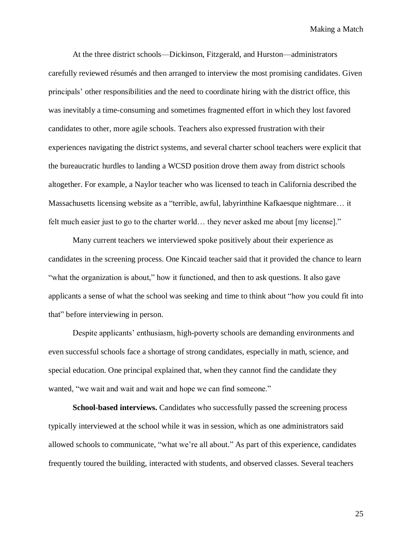At the three district schools—Dickinson, Fitzgerald, and Hurston—administrators carefully reviewed résumés and then arranged to interview the most promising candidates. Given principals' other responsibilities and the need to coordinate hiring with the district office, this was inevitably a time-consuming and sometimes fragmented effort in which they lost favored candidates to other, more agile schools. Teachers also expressed frustration with their experiences navigating the district systems, and several charter school teachers were explicit that the bureaucratic hurdles to landing a WCSD position drove them away from district schools altogether. For example, a Naylor teacher who was licensed to teach in California described the Massachusetts licensing website as a "terrible, awful, labyrinthine Kafkaesque nightmare… it felt much easier just to go to the charter world… they never asked me about [my license]."

Many current teachers we interviewed spoke positively about their experience as candidates in the screening process. One Kincaid teacher said that it provided the chance to learn "what the organization is about," how it functioned, and then to ask questions. It also gave applicants a sense of what the school was seeking and time to think about "how you could fit into that" before interviewing in person.

Despite applicants' enthusiasm, high-poverty schools are demanding environments and even successful schools face a shortage of strong candidates, especially in math, science, and special education. One principal explained that, when they cannot find the candidate they wanted, "we wait and wait and wait and hope we can find someone."

**School-based interviews.** Candidates who successfully passed the screening process typically interviewed at the school while it was in session, which as one administrators said allowed schools to communicate, "what we're all about." As part of this experience, candidates frequently toured the building, interacted with students, and observed classes. Several teachers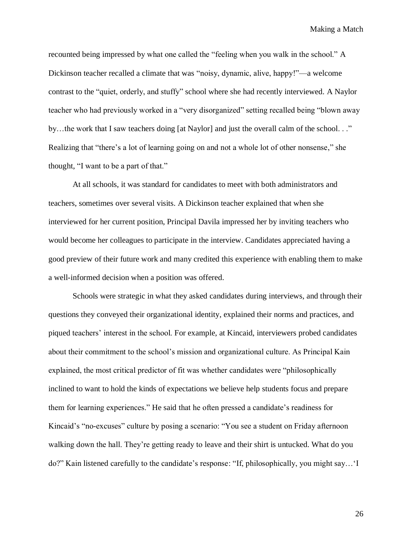recounted being impressed by what one called the "feeling when you walk in the school." A Dickinson teacher recalled a climate that was "noisy, dynamic, alive, happy!"—a welcome contrast to the "quiet, orderly, and stuffy" school where she had recently interviewed. A Naylor teacher who had previously worked in a "very disorganized" setting recalled being "blown away by...the work that I saw teachers doing [at Naylor] and just the overall calm of the school..." Realizing that "there's a lot of learning going on and not a whole lot of other nonsense," she thought, "I want to be a part of that."

At all schools, it was standard for candidates to meet with both administrators and teachers, sometimes over several visits. A Dickinson teacher explained that when she interviewed for her current position, Principal Davila impressed her by inviting teachers who would become her colleagues to participate in the interview. Candidates appreciated having a good preview of their future work and many credited this experience with enabling them to make a well-informed decision when a position was offered.

Schools were strategic in what they asked candidates during interviews, and through their questions they conveyed their organizational identity, explained their norms and practices, and piqued teachers' interest in the school. For example, at Kincaid, interviewers probed candidates about their commitment to the school's mission and organizational culture. As Principal Kain explained, the most critical predictor of fit was whether candidates were "philosophically inclined to want to hold the kinds of expectations we believe help students focus and prepare them for learning experiences." He said that he often pressed a candidate's readiness for Kincaid's "no-excuses" culture by posing a scenario: "You see a student on Friday afternoon walking down the hall. They're getting ready to leave and their shirt is untucked. What do you do?" Kain listened carefully to the candidate's response: "If, philosophically, you might say…'I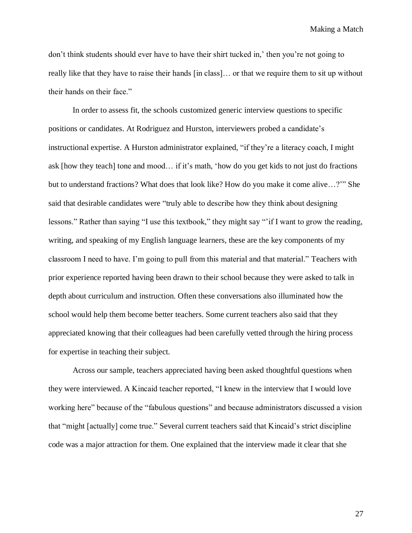don't think students should ever have to have their shirt tucked in,' then you're not going to really like that they have to raise their hands [in class]… or that we require them to sit up without their hands on their face."

In order to assess fit, the schools customized generic interview questions to specific positions or candidates. At Rodriguez and Hurston, interviewers probed a candidate's instructional expertise. A Hurston administrator explained, "if they're a literacy coach, I might ask [how they teach] tone and mood… if it's math, 'how do you get kids to not just do fractions but to understand fractions? What does that look like? How do you make it come alive…?'" She said that desirable candidates were "truly able to describe how they think about designing lessons." Rather than saying "I use this textbook," they might say "'if I want to grow the reading, writing, and speaking of my English language learners, these are the key components of my classroom I need to have. I'm going to pull from this material and that material." Teachers with prior experience reported having been drawn to their school because they were asked to talk in depth about curriculum and instruction. Often these conversations also illuminated how the school would help them become better teachers. Some current teachers also said that they appreciated knowing that their colleagues had been carefully vetted through the hiring process for expertise in teaching their subject.

Across our sample, teachers appreciated having been asked thoughtful questions when they were interviewed. A Kincaid teacher reported, "I knew in the interview that I would love working here" because of the "fabulous questions" and because administrators discussed a vision that "might [actually] come true." Several current teachers said that Kincaid's strict discipline code was a major attraction for them. One explained that the interview made it clear that she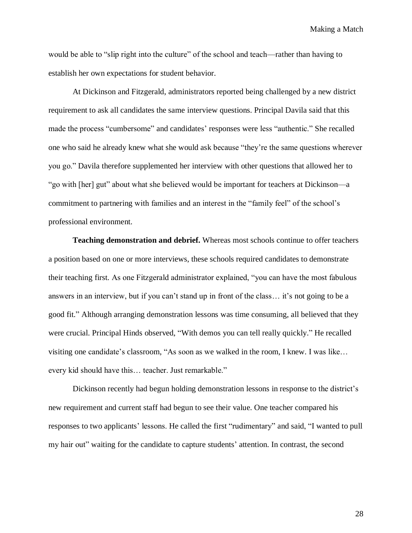would be able to "slip right into the culture" of the school and teach—rather than having to establish her own expectations for student behavior.

At Dickinson and Fitzgerald, administrators reported being challenged by a new district requirement to ask all candidates the same interview questions. Principal Davila said that this made the process "cumbersome" and candidates' responses were less "authentic." She recalled one who said he already knew what she would ask because "they're the same questions wherever you go." Davila therefore supplemented her interview with other questions that allowed her to "go with [her] gut" about what she believed would be important for teachers at Dickinson—a commitment to partnering with families and an interest in the "family feel" of the school's professional environment.

**Teaching demonstration and debrief.** Whereas most schools continue to offer teachers a position based on one or more interviews, these schools required candidates to demonstrate their teaching first. As one Fitzgerald administrator explained, "you can have the most fabulous answers in an interview, but if you can't stand up in front of the class… it's not going to be a good fit." Although arranging demonstration lessons was time consuming, all believed that they were crucial. Principal Hinds observed, "With demos you can tell really quickly." He recalled visiting one candidate's classroom, "As soon as we walked in the room, I knew. I was like… every kid should have this… teacher. Just remarkable."

Dickinson recently had begun holding demonstration lessons in response to the district's new requirement and current staff had begun to see their value. One teacher compared his responses to two applicants' lessons. He called the first "rudimentary" and said, "I wanted to pull my hair out" waiting for the candidate to capture students' attention. In contrast, the second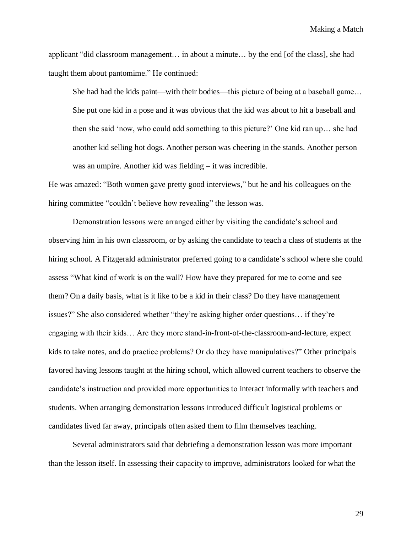applicant "did classroom management… in about a minute… by the end [of the class], she had taught them about pantomime." He continued:

She had had the kids paint—with their bodies—this picture of being at a baseball game… She put one kid in a pose and it was obvious that the kid was about to hit a baseball and then she said 'now, who could add something to this picture?' One kid ran up… she had another kid selling hot dogs. Another person was cheering in the stands. Another person was an umpire. Another kid was fielding – it was incredible.

He was amazed: "Both women gave pretty good interviews," but he and his colleagues on the hiring committee "couldn't believe how revealing" the lesson was.

Demonstration lessons were arranged either by visiting the candidate's school and observing him in his own classroom, or by asking the candidate to teach a class of students at the hiring school. A Fitzgerald administrator preferred going to a candidate's school where she could assess "What kind of work is on the wall? How have they prepared for me to come and see them? On a daily basis, what is it like to be a kid in their class? Do they have management issues?" She also considered whether "they're asking higher order questions… if they're engaging with their kids… Are they more stand-in-front-of-the-classroom-and-lecture, expect kids to take notes, and do practice problems? Or do they have manipulatives?" Other principals favored having lessons taught at the hiring school, which allowed current teachers to observe the candidate's instruction and provided more opportunities to interact informally with teachers and students. When arranging demonstration lessons introduced difficult logistical problems or candidates lived far away, principals often asked them to film themselves teaching.

Several administrators said that debriefing a demonstration lesson was more important than the lesson itself. In assessing their capacity to improve, administrators looked for what the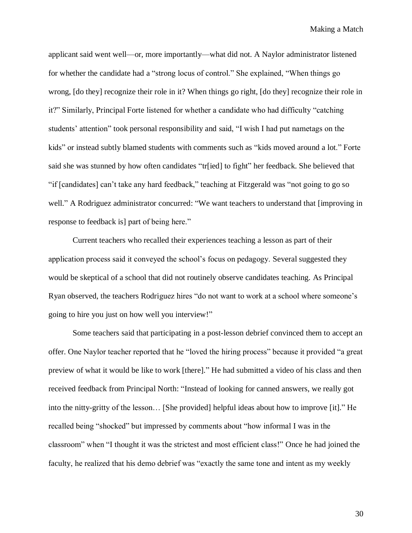applicant said went well—or, more importantly—what did not. A Naylor administrator listened for whether the candidate had a "strong locus of control." She explained, "When things go wrong, [do they] recognize their role in it? When things go right, [do they] recognize their role in it?" Similarly, Principal Forte listened for whether a candidate who had difficulty "catching students' attention" took personal responsibility and said, "I wish I had put nametags on the kids" or instead subtly blamed students with comments such as "kids moved around a lot." Forte said she was stunned by how often candidates "tr[ied] to fight" her feedback. She believed that "if [candidates] can't take any hard feedback," teaching at Fitzgerald was "not going to go so well." A Rodriguez administrator concurred: "We want teachers to understand that [improving in response to feedback is] part of being here."

Current teachers who recalled their experiences teaching a lesson as part of their application process said it conveyed the school's focus on pedagogy. Several suggested they would be skeptical of a school that did not routinely observe candidates teaching. As Principal Ryan observed, the teachers Rodriguez hires "do not want to work at a school where someone's going to hire you just on how well you interview!"

Some teachers said that participating in a post-lesson debrief convinced them to accept an offer. One Naylor teacher reported that he "loved the hiring process" because it provided "a great preview of what it would be like to work [there]." He had submitted a video of his class and then received feedback from Principal North: "Instead of looking for canned answers, we really got into the nitty-gritty of the lesson… [She provided] helpful ideas about how to improve [it]." He recalled being "shocked" but impressed by comments about "how informal I was in the classroom" when "I thought it was the strictest and most efficient class!" Once he had joined the faculty, he realized that his demo debrief was "exactly the same tone and intent as my weekly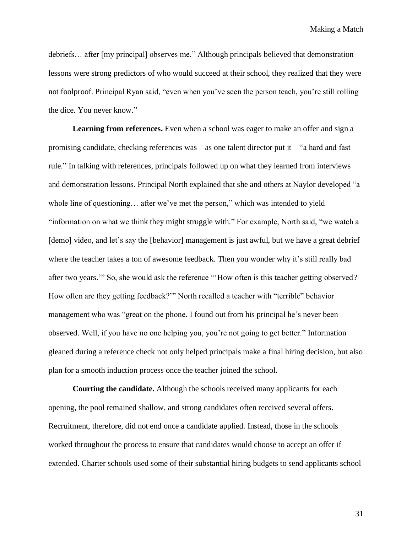debriefs… after [my principal] observes me." Although principals believed that demonstration lessons were strong predictors of who would succeed at their school, they realized that they were not foolproof. Principal Ryan said, "even when you've seen the person teach, you're still rolling the dice. You never know."

**Learning from references.** Even when a school was eager to make an offer and sign a promising candidate, checking references was—as one talent director put it—"a hard and fast rule." In talking with references, principals followed up on what they learned from interviews and demonstration lessons. Principal North explained that she and others at Naylor developed "a whole line of questioning… after we've met the person," which was intended to yield "information on what we think they might struggle with." For example, North said, "we watch a [demo] video, and let's say the [behavior] management is just awful, but we have a great debrief where the teacher takes a ton of awesome feedback. Then you wonder why it's still really bad after two years.'" So, she would ask the reference "'How often is this teacher getting observed? How often are they getting feedback?'" North recalled a teacher with "terrible" behavior management who was "great on the phone. I found out from his principal he's never been observed. Well, if you have no one helping you, you're not going to get better." Information gleaned during a reference check not only helped principals make a final hiring decision, but also plan for a smooth induction process once the teacher joined the school.

**Courting the candidate.** Although the schools received many applicants for each opening, the pool remained shallow, and strong candidates often received several offers. Recruitment, therefore, did not end once a candidate applied. Instead, those in the schools worked throughout the process to ensure that candidates would choose to accept an offer if extended. Charter schools used some of their substantial hiring budgets to send applicants school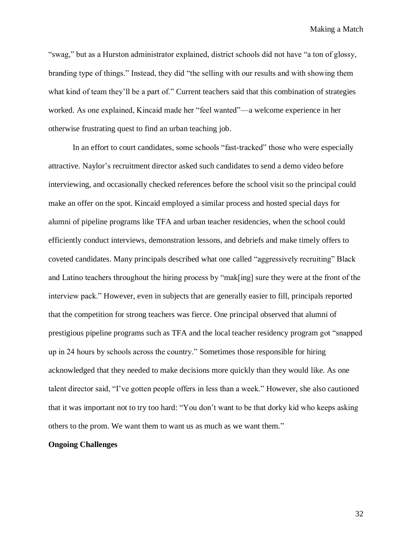"swag," but as a Hurston administrator explained, district schools did not have "a ton of glossy, branding type of things." Instead, they did "the selling with our results and with showing them what kind of team they'll be a part of." Current teachers said that this combination of strategies worked. As one explained, Kincaid made her "feel wanted"—a welcome experience in her otherwise frustrating quest to find an urban teaching job.

In an effort to court candidates, some schools "fast-tracked" those who were especially attractive. Naylor's recruitment director asked such candidates to send a demo video before interviewing, and occasionally checked references before the school visit so the principal could make an offer on the spot. Kincaid employed a similar process and hosted special days for alumni of pipeline programs like TFA and urban teacher residencies, when the school could efficiently conduct interviews, demonstration lessons, and debriefs and make timely offers to coveted candidates. Many principals described what one called "aggressively recruiting" Black and Latino teachers throughout the hiring process by "mak[ing] sure they were at the front of the interview pack." However, even in subjects that are generally easier to fill, principals reported that the competition for strong teachers was fierce. One principal observed that alumni of prestigious pipeline programs such as TFA and the local teacher residency program got "snapped up in 24 hours by schools across the country." Sometimes those responsible for hiring acknowledged that they needed to make decisions more quickly than they would like. As one talent director said, "I've gotten people offers in less than a week." However, she also cautioned that it was important not to try too hard: "You don't want to be that dorky kid who keeps asking others to the prom. We want them to want us as much as we want them."

#### **Ongoing Challenges**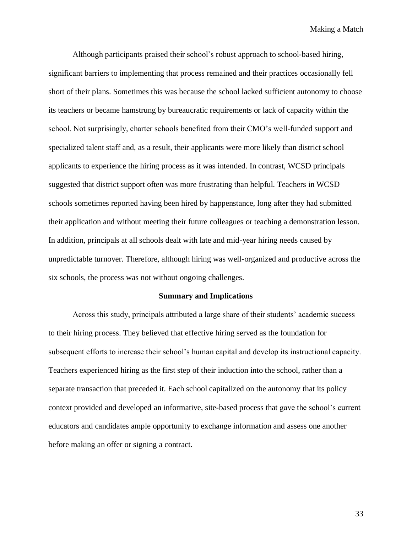Although participants praised their school's robust approach to school-based hiring, significant barriers to implementing that process remained and their practices occasionally fell short of their plans. Sometimes this was because the school lacked sufficient autonomy to choose its teachers or became hamstrung by bureaucratic requirements or lack of capacity within the school. Not surprisingly, charter schools benefited from their CMO's well-funded support and specialized talent staff and, as a result, their applicants were more likely than district school applicants to experience the hiring process as it was intended. In contrast, WCSD principals suggested that district support often was more frustrating than helpful. Teachers in WCSD schools sometimes reported having been hired by happenstance, long after they had submitted their application and without meeting their future colleagues or teaching a demonstration lesson. In addition, principals at all schools dealt with late and mid-year hiring needs caused by unpredictable turnover. Therefore, although hiring was well-organized and productive across the six schools, the process was not without ongoing challenges.

#### **Summary and Implications**

Across this study, principals attributed a large share of their students' academic success to their hiring process. They believed that effective hiring served as the foundation for subsequent efforts to increase their school's human capital and develop its instructional capacity. Teachers experienced hiring as the first step of their induction into the school, rather than a separate transaction that preceded it. Each school capitalized on the autonomy that its policy context provided and developed an informative, site-based process that gave the school's current educators and candidates ample opportunity to exchange information and assess one another before making an offer or signing a contract.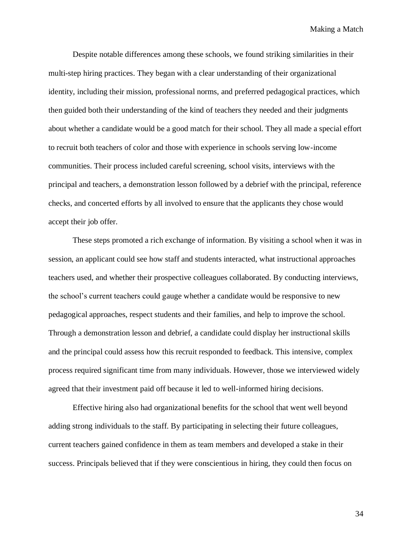Despite notable differences among these schools, we found striking similarities in their multi-step hiring practices. They began with a clear understanding of their organizational identity, including their mission, professional norms, and preferred pedagogical practices, which then guided both their understanding of the kind of teachers they needed and their judgments about whether a candidate would be a good match for their school. They all made a special effort to recruit both teachers of color and those with experience in schools serving low-income communities. Their process included careful screening, school visits, interviews with the principal and teachers, a demonstration lesson followed by a debrief with the principal, reference checks, and concerted efforts by all involved to ensure that the applicants they chose would accept their job offer.

These steps promoted a rich exchange of information. By visiting a school when it was in session, an applicant could see how staff and students interacted, what instructional approaches teachers used, and whether their prospective colleagues collaborated. By conducting interviews, the school's current teachers could gauge whether a candidate would be responsive to new pedagogical approaches, respect students and their families, and help to improve the school. Through a demonstration lesson and debrief, a candidate could display her instructional skills and the principal could assess how this recruit responded to feedback. This intensive, complex process required significant time from many individuals. However, those we interviewed widely agreed that their investment paid off because it led to well-informed hiring decisions.

Effective hiring also had organizational benefits for the school that went well beyond adding strong individuals to the staff. By participating in selecting their future colleagues, current teachers gained confidence in them as team members and developed a stake in their success. Principals believed that if they were conscientious in hiring, they could then focus on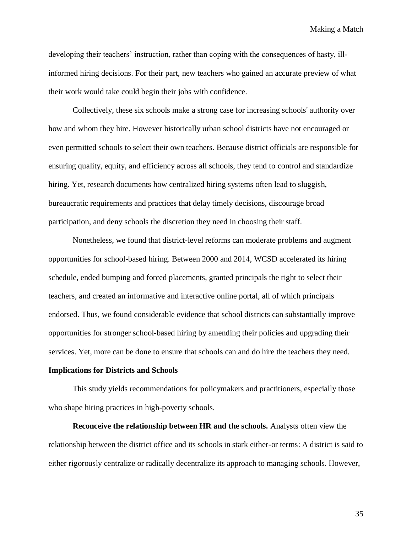developing their teachers' instruction, rather than coping with the consequences of hasty, illinformed hiring decisions. For their part, new teachers who gained an accurate preview of what their work would take could begin their jobs with confidence.

Collectively, these six schools make a strong case for increasing schools' authority over how and whom they hire. However historically urban school districts have not encouraged or even permitted schools to select their own teachers. Because district officials are responsible for ensuring quality, equity, and efficiency across all schools, they tend to control and standardize hiring. Yet, research documents how centralized hiring systems often lead to sluggish, bureaucratic requirements and practices that delay timely decisions, discourage broad participation, and deny schools the discretion they need in choosing their staff.

Nonetheless, we found that district-level reforms can moderate problems and augment opportunities for school-based hiring. Between 2000 and 2014, WCSD accelerated its hiring schedule, ended bumping and forced placements, granted principals the right to select their teachers, and created an informative and interactive online portal, all of which principals endorsed. Thus, we found considerable evidence that school districts can substantially improve opportunities for stronger school-based hiring by amending their policies and upgrading their services. Yet, more can be done to ensure that schools can and do hire the teachers they need.

#### **Implications for Districts and Schools**

This study yields recommendations for policymakers and practitioners, especially those who shape hiring practices in high-poverty schools.

**Reconceive the relationship between HR and the schools.** Analysts often view the relationship between the district office and its schools in stark either-or terms: A district is said to either rigorously centralize or radically decentralize its approach to managing schools. However,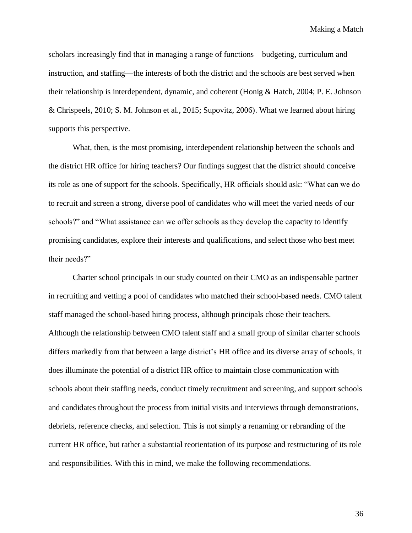scholars increasingly find that in managing a range of functions—budgeting, curriculum and instruction, and staffing—the interests of both the district and the schools are best served when their relationship is interdependent, dynamic, and coherent (Honig & Hatch, 2004; P. E. Johnson & Chrispeels, 2010; S. M. Johnson et al., 2015; Supovitz, 2006). What we learned about hiring supports this perspective.

What, then, is the most promising, interdependent relationship between the schools and the district HR office for hiring teachers? Our findings suggest that the district should conceive its role as one of support for the schools. Specifically, HR officials should ask: "What can we do to recruit and screen a strong, diverse pool of candidates who will meet the varied needs of our schools?" and "What assistance can we offer schools as they develop the capacity to identify promising candidates, explore their interests and qualifications, and select those who best meet their needs?"

Charter school principals in our study counted on their CMO as an indispensable partner in recruiting and vetting a pool of candidates who matched their school-based needs. CMO talent staff managed the school-based hiring process, although principals chose their teachers. Although the relationship between CMO talent staff and a small group of similar charter schools differs markedly from that between a large district's HR office and its diverse array of schools, it does illuminate the potential of a district HR office to maintain close communication with schools about their staffing needs, conduct timely recruitment and screening, and support schools and candidates throughout the process from initial visits and interviews through demonstrations, debriefs, reference checks, and selection. This is not simply a renaming or rebranding of the current HR office, but rather a substantial reorientation of its purpose and restructuring of its role and responsibilities. With this in mind, we make the following recommendations.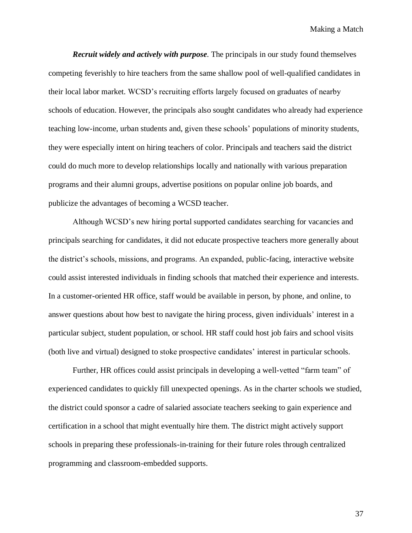*Recruit widely and actively with purpose.* The principals in our study found themselves competing feverishly to hire teachers from the same shallow pool of well-qualified candidates in their local labor market. WCSD's recruiting efforts largely focused on graduates of nearby schools of education. However, the principals also sought candidates who already had experience teaching low-income, urban students and, given these schools' populations of minority students, they were especially intent on hiring teachers of color. Principals and teachers said the district could do much more to develop relationships locally and nationally with various preparation programs and their alumni groups, advertise positions on popular online job boards, and publicize the advantages of becoming a WCSD teacher.

Although WCSD's new hiring portal supported candidates searching for vacancies and principals searching for candidates, it did not educate prospective teachers more generally about the district's schools, missions, and programs. An expanded, public-facing, interactive website could assist interested individuals in finding schools that matched their experience and interests. In a customer-oriented HR office, staff would be available in person, by phone, and online, to answer questions about how best to navigate the hiring process, given individuals' interest in a particular subject, student population, or school. HR staff could host job fairs and school visits (both live and virtual) designed to stoke prospective candidates' interest in particular schools.

Further, HR offices could assist principals in developing a well-vetted "farm team" of experienced candidates to quickly fill unexpected openings. As in the charter schools we studied, the district could sponsor a cadre of salaried associate teachers seeking to gain experience and certification in a school that might eventually hire them. The district might actively support schools in preparing these professionals-in-training for their future roles through centralized programming and classroom-embedded supports.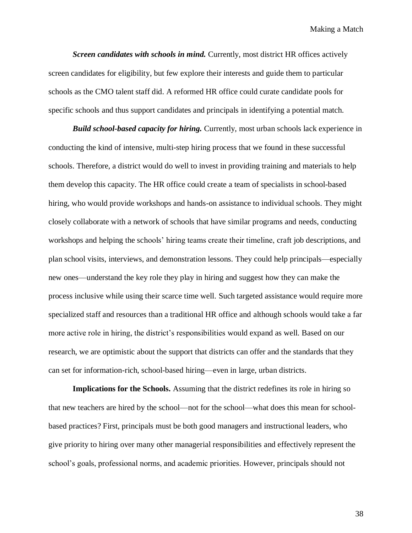*Screen candidates with schools in mind.* Currently, most district HR offices actively screen candidates for eligibility, but few explore their interests and guide them to particular schools as the CMO talent staff did. A reformed HR office could curate candidate pools for specific schools and thus support candidates and principals in identifying a potential match.

*Build school-based capacity for hiring.* Currently, most urban schools lack experience in conducting the kind of intensive, multi-step hiring process that we found in these successful schools. Therefore, a district would do well to invest in providing training and materials to help them develop this capacity. The HR office could create a team of specialists in school-based hiring, who would provide workshops and hands-on assistance to individual schools. They might closely collaborate with a network of schools that have similar programs and needs, conducting workshops and helping the schools' hiring teams create their timeline, craft job descriptions, and plan school visits, interviews, and demonstration lessons. They could help principals—especially new ones—understand the key role they play in hiring and suggest how they can make the process inclusive while using their scarce time well. Such targeted assistance would require more specialized staff and resources than a traditional HR office and although schools would take a far more active role in hiring, the district's responsibilities would expand as well. Based on our research, we are optimistic about the support that districts can offer and the standards that they can set for information-rich, school-based hiring—even in large, urban districts.

**Implications for the Schools.** Assuming that the district redefines its role in hiring so that new teachers are hired by the school—not for the school—what does this mean for schoolbased practices? First, principals must be both good managers and instructional leaders, who give priority to hiring over many other managerial responsibilities and effectively represent the school's goals, professional norms, and academic priorities. However, principals should not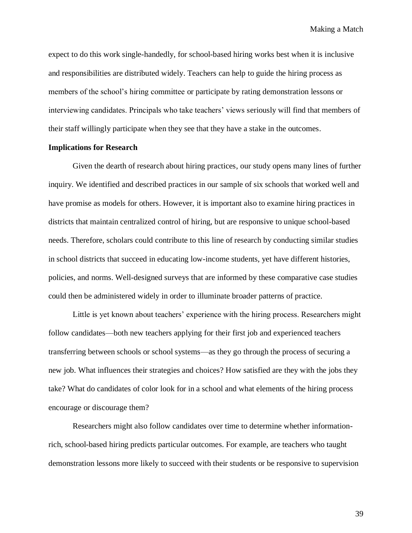expect to do this work single-handedly, for school-based hiring works best when it is inclusive and responsibilities are distributed widely. Teachers can help to guide the hiring process as members of the school's hiring committee or participate by rating demonstration lessons or interviewing candidates. Principals who take teachers' views seriously will find that members of their staff willingly participate when they see that they have a stake in the outcomes.

#### **Implications for Research**

Given the dearth of research about hiring practices, our study opens many lines of further inquiry. We identified and described practices in our sample of six schools that worked well and have promise as models for others. However, it is important also to examine hiring practices in districts that maintain centralized control of hiring, but are responsive to unique school-based needs. Therefore, scholars could contribute to this line of research by conducting similar studies in school districts that succeed in educating low-income students, yet have different histories, policies, and norms. Well-designed surveys that are informed by these comparative case studies could then be administered widely in order to illuminate broader patterns of practice.

Little is yet known about teachers' experience with the hiring process. Researchers might follow candidates—both new teachers applying for their first job and experienced teachers transferring between schools or school systems—as they go through the process of securing a new job. What influences their strategies and choices? How satisfied are they with the jobs they take? What do candidates of color look for in a school and what elements of the hiring process encourage or discourage them?

Researchers might also follow candidates over time to determine whether informationrich, school-based hiring predicts particular outcomes. For example, are teachers who taught demonstration lessons more likely to succeed with their students or be responsive to supervision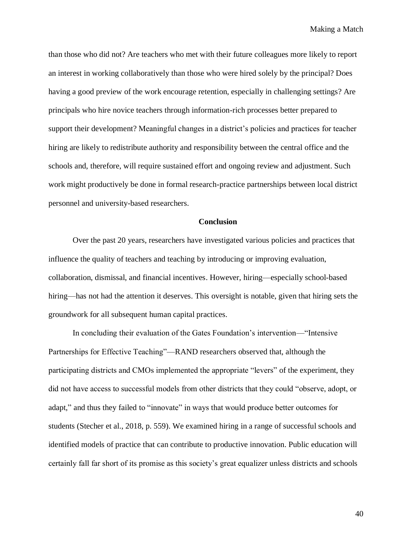than those who did not? Are teachers who met with their future colleagues more likely to report an interest in working collaboratively than those who were hired solely by the principal? Does having a good preview of the work encourage retention, especially in challenging settings? Are principals who hire novice teachers through information-rich processes better prepared to support their development? Meaningful changes in a district's policies and practices for teacher hiring are likely to redistribute authority and responsibility between the central office and the schools and, therefore, will require sustained effort and ongoing review and adjustment. Such work might productively be done in formal research-practice partnerships between local district personnel and university-based researchers.

#### **Conclusion**

Over the past 20 years, researchers have investigated various policies and practices that influence the quality of teachers and teaching by introducing or improving evaluation, collaboration, dismissal, and financial incentives. However, hiring—especially school-based hiring—has not had the attention it deserves. This oversight is notable, given that hiring sets the groundwork for all subsequent human capital practices.

In concluding their evaluation of the Gates Foundation's intervention—"Intensive Partnerships for Effective Teaching"—RAND researchers observed that, although the participating districts and CMOs implemented the appropriate "levers" of the experiment, they did not have access to successful models from other districts that they could "observe, adopt, or adapt," and thus they failed to "innovate" in ways that would produce better outcomes for students (Stecher et al., 2018, p. 559). We examined hiring in a range of successful schools and identified models of practice that can contribute to productive innovation. Public education will certainly fall far short of its promise as this society's great equalizer unless districts and schools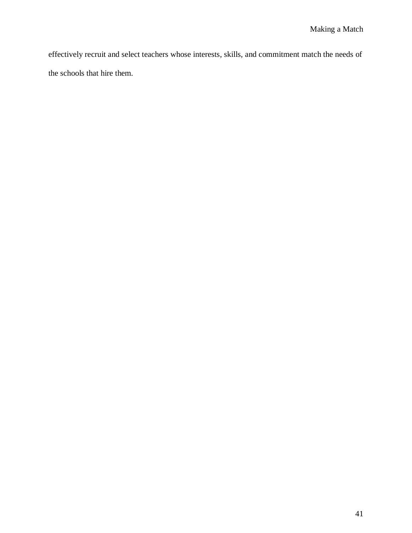effectively recruit and select teachers whose interests, skills, and commitment match the needs of the schools that hire them.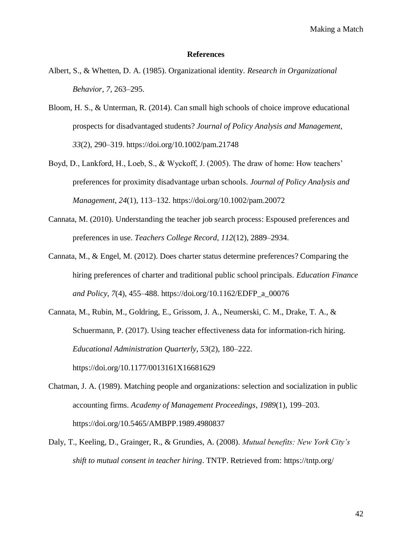#### **References**

- Albert, S., & Whetten, D. A. (1985). Organizational identity. *Research in Organizational Behavior*, *7*, 263–295.
- Bloom, H. S., & Unterman, R. (2014). Can small high schools of choice improve educational prospects for disadvantaged students? *Journal of Policy Analysis and Management*, *33*(2), 290–319. https://doi.org/10.1002/pam.21748
- Boyd, D., Lankford, H., Loeb, S., & Wyckoff, J. (2005). The draw of home: How teachers' preferences for proximity disadvantage urban schools. *Journal of Policy Analysis and Management*, *24*(1), 113–132. https://doi.org/10.1002/pam.20072
- Cannata, M. (2010). Understanding the teacher job search process: Espoused preferences and preferences in use. *Teachers College Record*, *112*(12), 2889–2934.
- Cannata, M., & Engel, M. (2012). Does charter status determine preferences? Comparing the hiring preferences of charter and traditional public school principals. *Education Finance and Policy*, *7*(4), 455–488. https://doi.org/10.1162/EDFP\_a\_00076
- Cannata, M., Rubin, M., Goldring, E., Grissom, J. A., Neumerski, C. M., Drake, T. A., & Schuermann, P. (2017). Using teacher effectiveness data for information-rich hiring. *Educational Administration Quarterly*, *53*(2), 180–222. https://doi.org/10.1177/0013161X16681629
- Chatman, J. A. (1989). Matching people and organizations: selection and socialization in public accounting firms. *Academy of Management Proceedings*, *1989*(1), 199–203. https://doi.org/10.5465/AMBPP.1989.4980837
- Daly, T., Keeling, D., Grainger, R., & Grundies, A. (2008). *Mutual benefits: New York City's shift to mutual consent in teacher hiring*. TNTP. Retrieved from: https://tntp.org/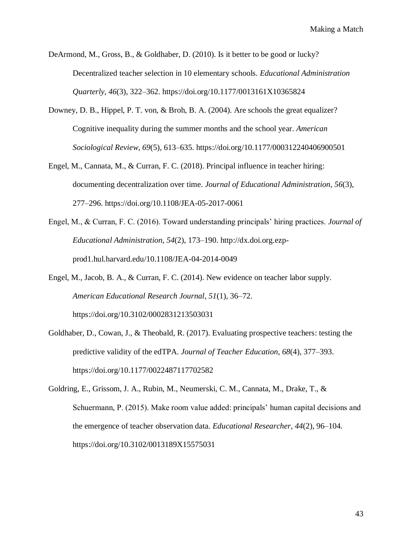DeArmond, M., Gross, B., & Goldhaber, D. (2010). Is it better to be good or lucky? Decentralized teacher selection in 10 elementary schools. *Educational Administration Quarterly*, *46*(3), 322–362. https://doi.org/10.1177/0013161X10365824

- Downey, D. B., Hippel, P. T. von, & Broh, B. A. (2004). Are schools the great equalizer? Cognitive inequality during the summer months and the school year. *American Sociological Review*, *69*(5), 613–635. https://doi.org/10.1177/000312240406900501
- Engel, M., Cannata, M., & Curran, F. C. (2018). Principal influence in teacher hiring: documenting decentralization over time. *Journal of Educational Administration*, *56*(3), 277–296. https://doi.org/10.1108/JEA-05-2017-0061
- Engel, M., & Curran, F. C. (2016). Toward understanding principals' hiring practices. *Journal of Educational Administration, 54*(2), 173–190. http://dx.doi.org.ezpprod1.hul.harvard.edu/10.1108/JEA-04-2014-0049
- Engel, M., Jacob, B. A., & Curran, F. C. (2014). New evidence on teacher labor supply. *American Educational Research Journal*, *51*(1), 36–72. https://doi.org/10.3102/0002831213503031
- Goldhaber, D., Cowan, J., & Theobald, R. (2017). Evaluating prospective teachers: testing the predictive validity of the edTPA. *Journal of Teacher Education*, *68*(4), 377–393. https://doi.org/10.1177/0022487117702582
- Goldring, E., Grissom, J. A., Rubin, M., Neumerski, C. M., Cannata, M., Drake, T., & Schuermann, P. (2015). Make room value added: principals' human capital decisions and the emergence of teacher observation data. *Educational Researcher*, *44*(2), 96–104. https://doi.org/10.3102/0013189X15575031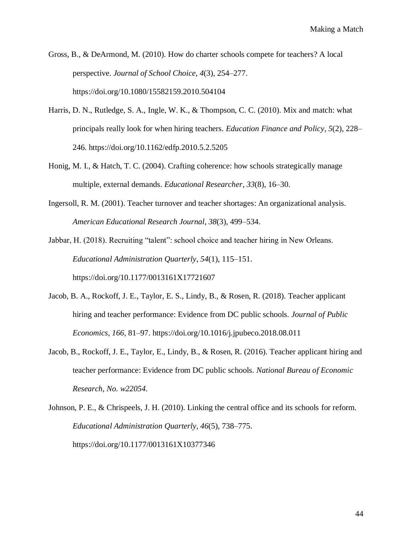Gross, B., & DeArmond, M. (2010). How do charter schools compete for teachers? A local perspective. *Journal of School Choice*, *4*(3), 254–277. https://doi.org/10.1080/15582159.2010.504104

- Harris, D. N., Rutledge, S. A., Ingle, W. K., & Thompson, C. C. (2010). Mix and match: what principals really look for when hiring teachers. *Education Finance and Policy*, *5*(2), 228– 246. https://doi.org/10.1162/edfp.2010.5.2.5205
- Honig, M. I., & Hatch, T. C. (2004). Crafting coherence: how schools strategically manage multiple, external demands. *Educational Researcher*, *33*(8), 16–30.
- Ingersoll, R. M. (2001). Teacher turnover and teacher shortages: An organizational analysis. *American Educational Research Journal*, *38*(3), 499–534.

Jabbar, H. (2018). Recruiting "talent": school choice and teacher hiring in New Orleans. *Educational Administration Quarterly*, *54*(1), 115–151. https://doi.org/10.1177/0013161X17721607

- Jacob, B. A., Rockoff, J. E., Taylor, E. S., Lindy, B., & Rosen, R. (2018). Teacher applicant hiring and teacher performance: Evidence from DC public schools. *Journal of Public Economics*, *166*, 81–97. https://doi.org/10.1016/j.jpubeco.2018.08.011
- Jacob, B., Rockoff, J. E., Taylor, E., Lindy, B., & Rosen, R. (2016). Teacher applicant hiring and teacher performance: Evidence from DC public schools. *National Bureau of Economic Research*, *No. w22054*.

Johnson, P. E., & Chrispeels, J. H. (2010). Linking the central office and its schools for reform. *Educational Administration Quarterly*, *46*(5), 738–775. https://doi.org/10.1177/0013161X10377346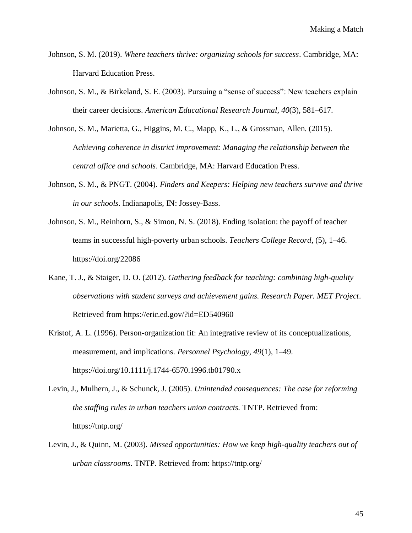- Johnson, S. M. (2019). *Where teachers thrive: organizing schools for success*. Cambridge, MA: Harvard Education Press.
- Johnson, S. M., & Birkeland, S. E. (2003). Pursuing a "sense of success": New teachers explain their career decisions. *American Educational Research Journal*, *40*(3), 581–617.
- Johnson, S. M., Marietta, G., Higgins, M. C., Mapp, K., L., & Grossman, Allen. (2015). A*chieving coherence in district improvement: Managing the relationship between the central office and schools*. Cambridge, MA: Harvard Education Press.
- Johnson, S. M., & PNGT. (2004). *Finders and Keepers: Helping new teachers survive and thrive in our schools*. Indianapolis, IN: Jossey-Bass.
- Johnson, S. M., Reinhorn, S., & Simon, N. S. (2018). Ending isolation: the payoff of teacher teams in successful high-poverty urban schools. *Teachers College Record*, (5), 1–46. https://doi.org/22086
- Kane, T. J., & Staiger, D. O. (2012). *Gathering feedback for teaching: combining high-quality observations with student surveys and achievement gains. Research Paper. MET Project*. Retrieved from https://eric.ed.gov/?id=ED540960
- Kristof, A. L. (1996). Person-organization fit: An integrative review of its conceptualizations, measurement, and implications. *Personnel Psychology*, *49*(1), 1–49. https://doi.org/10.1111/j.1744-6570.1996.tb01790.x
- Levin, J., Mulhern, J., & Schunck, J. (2005). *Unintended consequences: The case for reforming the staffing rules in urban teachers union contracts.* TNTP. Retrieved from: https://tntp.org/
- Levin, J., & Quinn, M. (2003). *Missed opportunities: How we keep high-quality teachers out of urban classrooms*. TNTP. Retrieved from: https://tntp.org/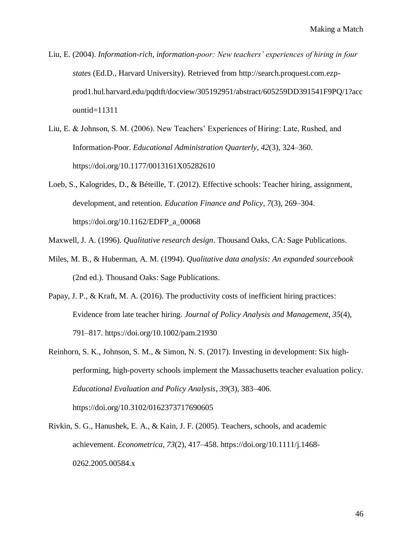- Liu, E. (2004). *Information-rich, information-poor: New teachers' experiences of hiring in four states* (Ed.D., Harvard University). Retrieved from http://search.proquest.com.ezpprod1.hul.harvard.edu/pqdtft/docview/305192951/abstract/605259DD391541F9PQ/1?acc ountid=11311
- Liu, E. & Johnson, S. M. (2006). New Teachers' Experiences of Hiring: Late, Rushed, and Information-Poor. *Educational Administration Quarterly*, *42*(3), 324–360. https://doi.org/10.1177/0013161X05282610
- Loeb, S., Kalogrides, D., & Béteille, T. (2012). Effective schools: Teacher hiring, assignment, development, and retention. *Education Finance and Policy*, *7*(3), 269–304. https://doi.org/10.1162/EDFP\_a\_00068
- Maxwell, J. A. (1996). *Qualitative research design*. Thousand Oaks, CA: Sage Publications.
- Miles, M. B., & Huberman, A. M. (1994). *Qualitative data analysis: An expanded sourcebook* (2nd ed.). Thousand Oaks: Sage Publications.
- Papay, J. P., & Kraft, M. A. (2016). The productivity costs of inefficient hiring practices: Evidence from late teacher hiring. *Journal of Policy Analysis and Management*, *35*(4), 791–817. https://doi.org/10.1002/pam.21930
- Reinhorn, S. K., Johnson, S. M., & Simon, N. S. (2017). Investing in development: Six highperforming, high-poverty schools implement the Massachusetts teacher evaluation policy. *Educational Evaluation and Policy Analysis*, *39*(3), 383–406. https://doi.org/10.3102/0162373717690605
- Rivkin, S. G., Hanushek, E. A., & Kain, J. F. (2005). Teachers, schools, and academic achievement. *Econometrica*, *73*(2), 417–458. https://doi.org/10.1111/j.1468- 0262.2005.00584.x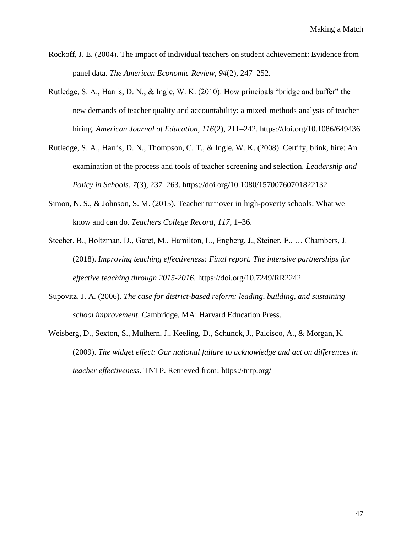- Rockoff, J. E. (2004). The impact of individual teachers on student achievement: Evidence from panel data. *The American Economic Review*, *94*(2), 247–252.
- Rutledge, S. A., Harris, D. N., & Ingle, W. K. (2010). How principals "bridge and buffer" the new demands of teacher quality and accountability: a mixed‐methods analysis of teacher hiring. *American Journal of Education*, *116*(2), 211–242. https://doi.org/10.1086/649436
- Rutledge, S. A., Harris, D. N., Thompson, C. T., & Ingle, W. K. (2008). Certify, blink, hire: An examination of the process and tools of teacher screening and selection. *Leadership and Policy in Schools*, *7*(3), 237–263. https://doi.org/10.1080/15700760701822132
- Simon, N. S., & Johnson, S. M. (2015). Teacher turnover in high-poverty schools: What we know and can do. *Teachers College Record*, *117*, 1–36.
- Stecher, B., Holtzman, D., Garet, M., Hamilton, L., Engberg, J., Steiner, E., … Chambers, J. (2018). *Improving teaching effectiveness: Final report. The intensive partnerships for effective teaching through 2015-2016*. https://doi.org/10.7249/RR2242
- Supovitz, J. A. (2006). *The case for district-based reform: leading, building, and sustaining school improvement*. Cambridge, MA: Harvard Education Press.
- Weisberg, D., Sexton, S., Mulhern, J., Keeling, D., Schunck, J., Palcisco, A., & Morgan, K. (2009). *The widget effect: Our national failure to acknowledge and act on differences in teacher effectiveness.* TNTP. Retrieved from: https://tntp.org/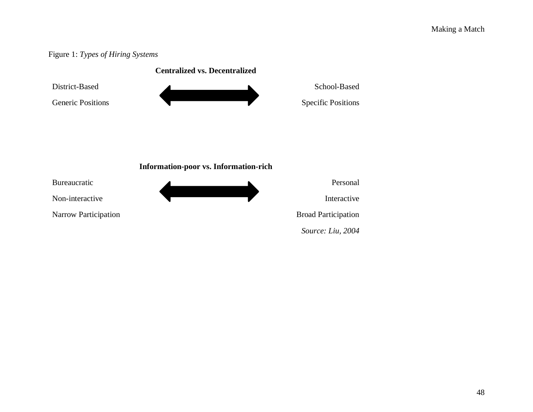# Figure 1: *Types of Hiring Systems*



*Source: Liu, 2004*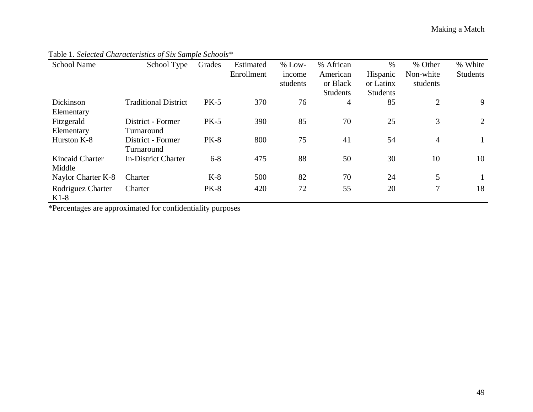| <b>School Name</b> | School Type                 | Grades      | Estimated  | $%$ Low- | % African       | $\%$            | % Other        | % White         |
|--------------------|-----------------------------|-------------|------------|----------|-----------------|-----------------|----------------|-----------------|
|                    |                             |             | Enrollment | income   | American        | Hispanic        | Non-white      | <b>Students</b> |
|                    |                             |             |            | students | or Black        | or Latinx       | students       |                 |
|                    |                             |             |            |          | <b>Students</b> | <b>Students</b> |                |                 |
| Dickinson          | <b>Traditional District</b> | $PK-5$      | 370        | 76       | 4               | 85              | $\overline{2}$ | 9               |
| Elementary         |                             |             |            |          |                 |                 |                |                 |
| Fitzgerald         | District - Former           | $PK-5$      | 390        | 85       | 70              | 25              | 3              | 2               |
| Elementary         | Turnaround                  |             |            |          |                 |                 |                |                 |
| Hurston K-8        | District - Former           | <b>PK-8</b> | 800        | 75       | 41              | 54              | $\overline{4}$ |                 |
|                    | Turnaround                  |             |            |          |                 |                 |                |                 |
| Kincaid Charter    | <b>In-District Charter</b>  | $6 - 8$     | 475        | 88       | 50              | 30              | 10             | 10              |
| Middle             |                             |             |            |          |                 |                 |                |                 |
| Naylor Charter K-8 | Charter                     | $K-8$       | 500        | 82       | 70              | 24              | 5              |                 |
| Rodriguez Charter  | Charter                     | <b>PK-8</b> | 420        | 72       | 55              | 20              | $\tau$         | 18              |
| $K1-8$             |                             |             |            |          |                 |                 |                |                 |

# Table 1. *Selected Characteristics of Six Sample Schools\**

\*Percentages are approximated for confidentiality purposes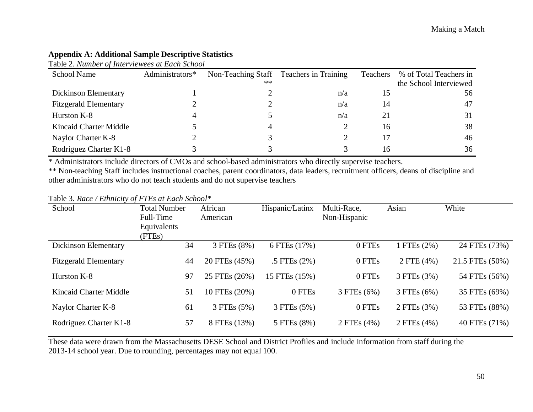## **Appendix A: Additional Sample Descriptive Statistics**

Table 2. *Number of Interviewees at Each School*

| <b>School Name</b>           | Administrators* |      | Non-Teaching Staff Teachers in Training | Teachers | % of Total Teachers in |
|------------------------------|-----------------|------|-----------------------------------------|----------|------------------------|
|                              |                 | $**$ |                                         |          | the School Interviewed |
| <b>Dickinson Elementary</b>  |                 |      | n/a                                     |          | 56                     |
| <b>Fitzgerald Elementary</b> |                 |      | n/a                                     | 14       | 47                     |
| Hurston K-8                  |                 |      | n/a                                     |          | 31                     |
| Kincaid Charter Middle       |                 | 4    |                                         | 16       | 38                     |
| Naylor Charter K-8           |                 |      |                                         |          | 46                     |
| Rodriguez Charter K1-8       |                 |      |                                         | 16       | 36                     |

\* Administrators include directors of CMOs and school-based administrators who directly supervise teachers.

\*\* Non-teaching Staff includes instructional coaches, parent coordinators, data leaders, recruitment officers, deans of discipline and other administrators who do not teach students and do not supervise teachers

Table 3. *Race / Ethnicity of FTEs at Each School\**

| School                       | <b>Total Number</b><br>Full-Time | African<br>American | Hispanic/Latinx | Multi-Race,<br>Non-Hispanic | Asian       | White           |
|------------------------------|----------------------------------|---------------------|-----------------|-----------------------------|-------------|-----------------|
|                              | Equivalents                      |                     |                 |                             |             |                 |
| Dickinson Elementary         | (FTEs)<br>34                     | 3 FTEs (8%)         | 6 FTEs (17%)    | 0 FTEs                      | 1 FTEs (2%) | 24 FTEs (73%)   |
| <b>Fitzgerald Elementary</b> | 44                               | 20 FTEs (45%)       | .5 FTEs $(2%)$  | 0 FTEs                      | 2 FTE (4%)  | 21.5 FTEs (50%) |
| Hurston K-8                  | 97                               | 25 FTEs (26%)       | 15 FTEs (15%)   | 0 FTEs                      | 3 FTEs (3%) | 54 FTEs (56%)   |
| Kincaid Charter Middle       | 51                               | 10 FTEs (20%)       | 0 FTEs          | 3 FTEs (6%)                 | 3 FTEs (6%) | 35 FTEs (69%)   |
| Naylor Charter K-8           | 61                               | 3 FTEs (5%)         | 3 FTEs (5%)     | 0 FTEs                      | 2 FTEs (3%) | 53 FTEs (88%)   |
| Rodriguez Charter K1-8       | 57                               | 8 FTEs (13%)        | 5 FTEs (8%)     | 2 FTEs (4%)                 | 2 FTEs (4%) | 40 FTEs (71%)   |

These data were drawn from the Massachusetts DESE School and District Profiles and include information from staff during the 2013-14 school year. Due to rounding, percentages may not equal 100.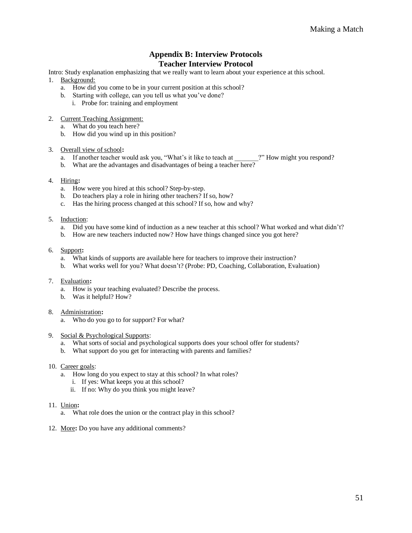#### **Appendix B: Interview Protocols Teacher Interview Protocol**

Intro: Study explanation emphasizing that we really want to learn about your experience at this school.

- 1. Background:
	- a. How did you come to be in your current position at this school?
	- b. Starting with college, can you tell us what you've done?
		- i. Probe for: training and employment
- 2. Current Teaching Assignment:
	- a. What do you teach here?
	- b. How did you wind up in this position?

#### 3. Overall view of school**:**

- a. If another teacher would ask you, "What's it like to teach at  $\qquad$ ?" How might you respond?
- b. What are the advantages and disadvantages of being a teacher here?
- 4. Hiring**:**
	- a. How were you hired at this school? Step-by-step.
	- b. Do teachers play a role in hiring other teachers? If so, how?
	- c. Has the hiring process changed at this school? If so, how and why?
- 5. Induction:
	- a. Did you have some kind of induction as a new teacher at this school? What worked and what didn't?
	- b. How are new teachers inducted now? How have things changed since you got here?

#### 6. Support**:**

- a. What kinds of supports are available here for teachers to improve their instruction?
- b. What works well for you? What doesn't? (Probe: PD, Coaching, Collaboration, Evaluation)
- 7. Evaluation**:** 
	- a. How is your teaching evaluated? Describe the process.
	- b. Was it helpful? How?

#### 8. Administration**:**

- a. Who do you go to for support? For what?
- 9. Social & Psychological Supports:
	- a. What sorts of social and psychological supports does your school offer for students?
	- b. What support do you get for interacting with parents and families?
- 10. Career goals:
	- a. How long do you expect to stay at this school? In what roles?
		- i. If yes: What keeps you at this school?
		- ii. If no: Why do you think you might leave?
- 11. Union**:**
	- a. What role does the union or the contract play in this school?
- 12. More**:** Do you have any additional comments?